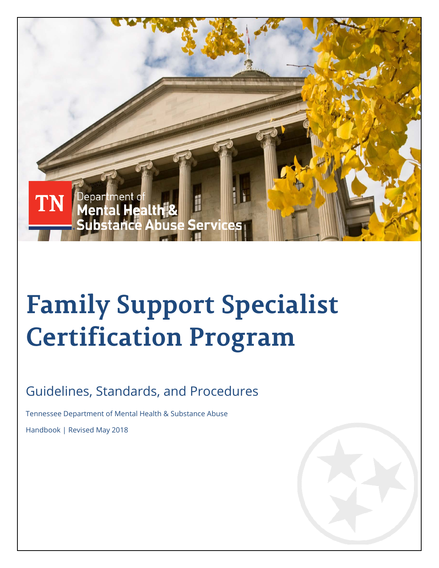

# **Family Support Specialist Certification Program**

### Guidelines, Standards, and Procedures

Tennessee Department of Mental Health & Substance Abuse

Handbook | Revised May 2018

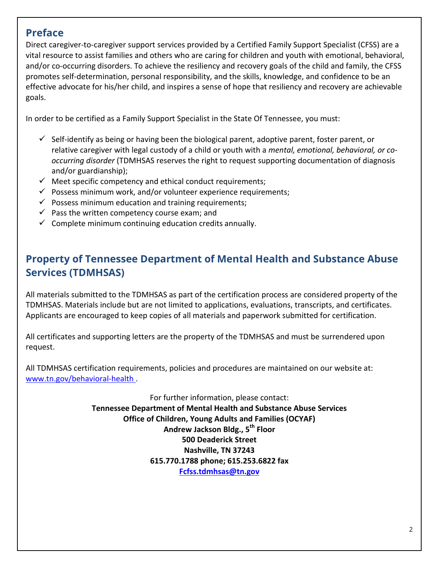### **Preface**

Direct caregiver-to-caregiver support services provided by a Certified Family Support Specialist (CFSS) are a vital resource to assist families and others who are caring for children and youth with emotional, behavioral, and/or co-occurring disorders. To achieve the resiliency and recovery goals of the child and family, the CFSS promotes self-determination, personal responsibility, and the skills, knowledge, and confidence to be an effective advocate for his/her child, and inspires a sense of hope that resiliency and recovery are achievable goals.

In order to be certified as a Family Support Specialist in the State Of Tennessee, you must:

- $\checkmark$  Self-identify as being or having been the biological parent, adoptive parent, foster parent, or relative caregiver with legal custody of a child or youth with a *mental, emotional, behavioral, or cooccurring disorder* (TDMHSAS reserves the right to request supporting documentation of diagnosis and/or guardianship);
- $\checkmark$  Meet specific competency and ethical conduct requirements;
- $\checkmark$  Possess minimum work, and/or volunteer experience requirements;
- $\checkmark$  Possess minimum education and training requirements;
- $\checkmark$  Pass the written competency course exam; and
- $\checkmark$  Complete minimum continuing education credits annually.

### **Property of Tennessee Department of Mental Health and Substance Abuse Services (TDMHSAS)**

All materials submitted to the TDMHSAS as part of the certification process are considered property of the TDMHSAS. Materials include but are not limited to applications, evaluations, transcripts, and certificates. Applicants are encouraged to keep copies of all materials and paperwork submitted for certification.

All certificates and supporting letters are the property of the TDMHSAS and must be surrendered upon request.

All TDMHSAS certification requirements, policies and procedures are maintained on our website at: [www.tn.gov/behavioral-health](http://www.tn.gov/behavioral-health) .

> For further information, please contact: **Tennessee Department of Mental Health and Substance Abuse Services Office of Children, Young Adults and Families (OCYAF) Andrew Jackson Bldg., 5th Floor 500 Deaderick Street Nashville, TN 37243 615.770.1788 phone; 615.253.6822 fax [Fcfss.tdmhsas@tn.gov](mailto:Fcfss.tdmhsas@tn.gov)**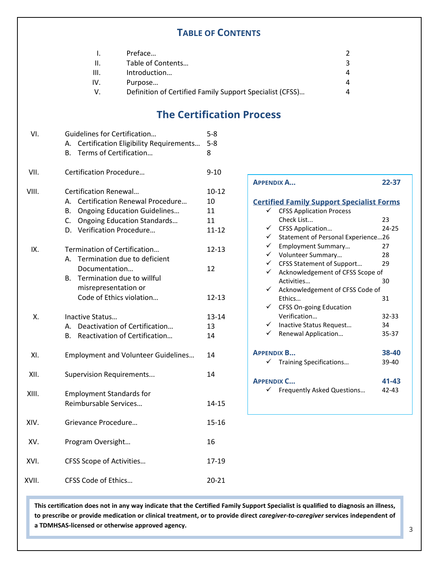### **TABLE OF CONTENTS**

|      | Preface                                                  |   |
|------|----------------------------------------------------------|---|
| Ш.   | Table of Contents                                        | 3 |
| III. | Introduction                                             | 4 |
| IV.  | Purpose                                                  |   |
| v.   | Definition of Certified Family Support Specialist (CFSS) | 4 |
|      |                                                          |   |

### **The Certification Process**

| VI.   | Guidelines for Certification<br>Certification Eligibility Requirements<br>А.                                                                                                            | $5 - 8$<br>$5 - 8$                       |
|-------|-----------------------------------------------------------------------------------------------------------------------------------------------------------------------------------------|------------------------------------------|
|       | Terms of Certification<br>В.                                                                                                                                                            | 8                                        |
| VII.  | Certification Procedure                                                                                                                                                                 | $9 - 10$                                 |
| VIII. | Certification Renewal<br>Certification Renewal Procedure<br>А.<br><b>Ongoing Education Guidelines</b><br>В.<br>C.<br><b>Ongoing Education Standards</b><br>Verification Procedure<br>D. | $10 - 12$<br>10<br>11<br>11<br>$11 - 12$ |
| IX.   | Termination of Certification<br>Termination due to deficient<br>А.<br>Documentation<br>Termination due to willful<br>В.<br>misrepresentation or<br>Code of Ethics violation             | $12 - 13$<br>12<br>$12 - 13$             |
| Χ.    | Inactive Status<br>Deactivation of Certification<br>А.<br>Reactivation of Certification<br>В.                                                                                           | 13-14<br>13<br>14                        |
| XI.   | <b>Employment and Volunteer Guidelines</b>                                                                                                                                              | 14                                       |
| XII.  | <b>Supervision Requirements</b>                                                                                                                                                         | 14                                       |
| XIII. | <b>Employment Standards for</b><br>Reimbursable Services                                                                                                                                | $14 - 15$                                |
| XIV.  | Grievance Procedure                                                                                                                                                                     | $15 - 16$                                |
| XV.   | Program Oversight                                                                                                                                                                       | 16                                       |
| XVI.  | CFSS Scope of Activities                                                                                                                                                                | 17-19                                    |
| XVII. | CFSS Code of Ethics                                                                                                                                                                     | $20 - 21$                                |
|       |                                                                                                                                                                                         |                                          |

| <b>APPENDIX A</b>                                | 22-37     |
|--------------------------------------------------|-----------|
| <b>Certified Family Support Specialist Forms</b> |           |
| <b>CFSS Application Process</b><br>✓             |           |
| Check List                                       | 23        |
| ✓<br><b>CFSS Application</b>                     | 24-25     |
| √ Statement of Personal Experience26             |           |
| $\checkmark$ Employment Summary                  | 27        |
| V Volunteer Summary                              | 28        |
| ← CFSS Statement of Support                      | 29        |
| ✓<br>Acknowledgement of CFSS Scope of            |           |
| Activities                                       | 30        |
| ✓<br>Acknowledgement of CFSS Code of             |           |
| Fthics                                           | 31        |
| ✓<br><b>CFSS On-going Education</b>              |           |
| Verification                                     | $32 - 33$ |
| √ Inactive Status Request                        | 34        |
| Renewal Application                              | 35-37     |
|                                                  |           |
| <b>APPENDIX B</b>                                | 38-40     |
| ✓<br>Training Specifications                     | 39-40     |
|                                                  |           |
| <b>APPENDIX C</b>                                | 41-43     |
| ✓<br><b>Frequently Asked Questions</b>           | 42-43     |
|                                                  |           |
|                                                  |           |

**This certification does not in any way indicate that the Certified Family Support Specialist is qualified to diagnosis an illness, to prescribe or provide medication or clinical treatment, or to provide direct** *caregiver-to-caregiver* **services independent of a TDMHSAS-licensed or otherwise approved agency.**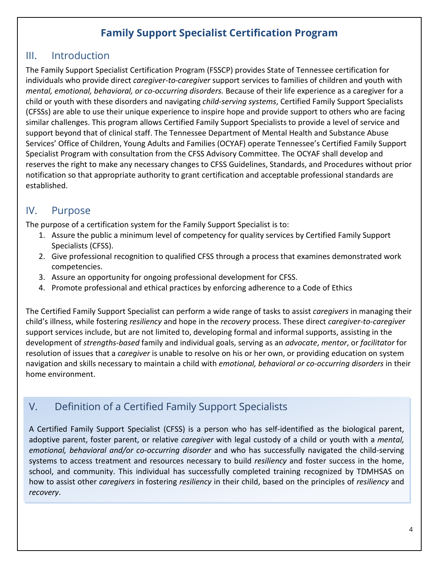### **Family Support Specialist Certification Program**

### III. Introduction

The Family Support Specialist Certification Program (FSSCP) provides State of Tennessee certification for individuals who provide direct *caregiver-to-caregiver* support services to families of children and youth with *mental, emotional, behavioral, or co-occurring disorders.* Because of their life experience as a caregiver for a child or youth with these disorders and navigating *child-serving systems*, Certified Family Support Specialists (CFSSs) are able to use their unique experience to inspire hope and provide support to others who are facing similar challenges. This program allows Certified Family Support Specialists to provide a level of service and support beyond that of clinical staff. The Tennessee Department of Mental Health and Substance Abuse Services' Office of Children, Young Adults and Families (OCYAF) operate Tennessee's Certified Family Support Specialist Program with consultation from the CFSS Advisory Committee. The OCYAF shall develop and reserves the right to make any necessary changes to CFSS Guidelines, Standards, and Procedures without prior notification so that appropriate authority to grant certification and acceptable professional standards are established.

### IV. Purpose

The purpose of a certification system for the Family Support Specialist is to:

- 1. Assure the public a minimum level of competency for quality services by Certified Family Support Specialists (CFSS).
- 2. Give professional recognition to qualified CFSS through a process that examines demonstrated work competencies.
- 3. Assure an opportunity for ongoing professional development for CFSS.
- 4. Promote professional and ethical practices by enforcing adherence to a Code of Ethics

The Certified Family Support Specialist can perform a wide range of tasks to assist *caregivers* in managing their child's illness, while fostering *resiliency* and hope in the *recovery* process. These direct *caregiver-to-caregiver* support services include, but are not limited to, developing formal and informal supports, assisting in the development of *strengths-based* family and individual goals, serving as an *advocate*, *mentor*, or *facilitator* for resolution of issues that a *caregiver* is unable to resolve on his or her own, or providing education on system navigation and skills necessary to maintain a child with *emotional, behavioral or co-occurring disorders* in their home environment.

### V. Definition of a Certified Family Support Specialists

 $V = \begin{bmatrix} 1 & 0 \\ 0 & 1 \end{bmatrix}$ A Certified Family Support Specialist (CFSS) is a person who has self-identified as the biological parent, adoptive parent, foster parent, or relative *caregiver* with legal custody of a child or youth with a *mental, emotional, behavioral and/or co-occurring disorder* and who has successfully navigated the child-serving systems to access treatment and resources necessary to build *resiliency* and foster success in the home, school, and community. This individual has successfully completed training recognized by TDMHSAS on how to assist other *caregivers* in fostering *resiliency* in their child, based on the principles of *resiliency* and *recovery*.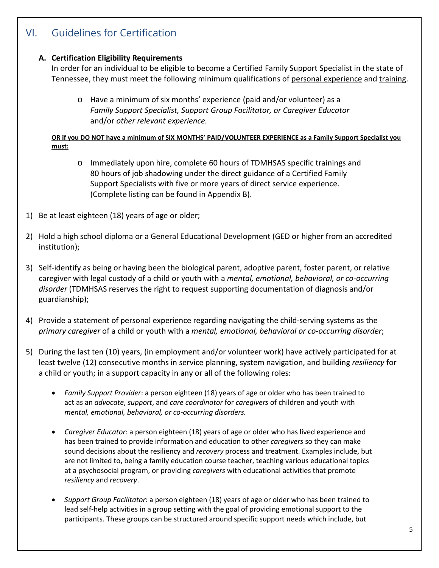### VI. Guidelines for Certification

#### **A. Certification Eligibility Requirements**

In order for an individual to be eligible to become a Certified Family Support Specialist in the state of Tennessee, they must meet the following minimum qualifications of personal experience and training.

o Have a minimum of six months' experience (paid and/or volunteer) as a *Family Support Specialist, Support Group Facilitator, or Caregiver Educator*  and/or *other relevant experience.*

**OR if you DO NOT have a minimum of SIX MONTHS' PAID/VOLUNTEER EXPERIENCE as a Family Support Specialist you must:**

- o Immediately upon hire, complete 60 hours of TDMHSAS specific trainings and 80 hours of job shadowing under the direct guidance of a Certified Family Support Specialists with five or more years of direct service experience. (Complete listing can be found in Appendix B).
- 1) Be at least eighteen (18) years of age or older;
- 2) Hold a high school diploma or a General Educational Development (GED or higher from an accredited institution);
- 3) Self-identify as being or having been the biological parent, adoptive parent, foster parent, or relative caregiver with legal custody of a child or youth with a *mental, emotional, behavioral, or co-occurring disorder* (TDMHSAS reserves the right to request supporting documentation of diagnosis and/or guardianship);
- 4) Provide a statement of personal experience regarding navigating the child-serving systems as the *primary caregiver* of a child or youth with a *mental, emotional, behavioral or co-occurring disorder*;
- 5) During the last ten (10) years, (in employment and/or volunteer work) have actively participated for at least twelve (12) consecutive months in service planning, system navigation, and building *resiliency* for a child or youth; in a support capacity in any or all of the following roles:
	- *Family Support Provider*: a person eighteen (18) years of age or older who has been trained to act as an *advocate*, *support*, and *care coordinator* for *caregivers* of children and youth with *mental, emotional, behavioral, or co-occurring disorders.*
	- *Caregiver Educator:* a person eighteen (18) years of age or older who has lived experience and has been trained to provide information and education to other *caregivers* so they can make sound decisions about the resiliency and *recovery* process and treatment. Examples include, but are not limited to, being a family education course teacher, teaching various educational topics at a psychosocial program, or providing *caregivers* with educational activities that promote *resiliency* and *recovery*.
	- *Support Group Facilitator*: a person eighteen (18) years of age or older who has been trained to lead self-help activities in a group setting with the goal of providing emotional support to the participants. These groups can be structured around specific support needs which include, but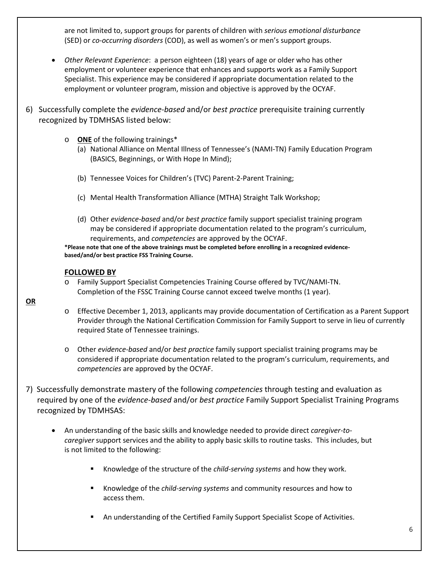are not limited to, support groups for parents of children with *serious emotional disturbance* (SED) or *co-occurring disorders* (COD), as well as women's or men's support groups.

- *Other Relevant Experience*: a person eighteen (18) years of age or older who has other employment or volunteer experience that enhances and supports work as a Family Support Specialist. This experience may be considered if appropriate documentation related to the employment or volunteer program, mission and objective is approved by the OCYAF.
- 6) Successfully complete the *evidence-based* and/or *best practice* prerequisite training currently recognized by TDMHSAS listed below:
	- o **ONE** of the following trainings\*
		- (a) National Alliance on Mental Illness of Tennessee's (NAMI-TN) Family Education Program (BASICS, Beginnings, or With Hope In Mind);
		- (b) Tennessee Voices for Children's (TVC) Parent-2-Parent Training;
		- (c) Mental Health Transformation Alliance (MTHA) Straight Talk Workshop;
		- (d) Other *evidence-based* and/or *best practice* family support specialist training program may be considered if appropriate documentation related to the program's curriculum, requirements, and *competencies* are approved by the OCYAF.

**\*Please note that one of the above trainings must be completed before enrolling in a recognized evidencebased/and/or best practice FSS Training Course.**

#### **FOLLOWED BY**

- o Family Support Specialist Competencies Training Course offered by TVC/NAMI-TN. Completion of the FSSC Training Course cannot exceed twelve months (1 year).
- o Effective December 1, 2013, applicants may provide documentation of Certification as a Parent Support Provider through the National Certification Commission for Family Support to serve in lieu of currently required State of Tennessee trainings.
	- o Other *evidence-based* and/or *best practice* family support specialist training programs may be considered if appropriate documentation related to the program's curriculum, requirements, and *competencies* are approved by the OCYAF.
- 7) Successfully demonstrate mastery of the following *competencies* through testing and evaluation as required by one of the *evidence-based* and/or *best practice* Family Support Specialist Training Programs recognized by TDMHSAS:
	- An understanding of the basic skills and knowledge needed to provide direct *caregiver-tocaregiver* support services and the ability to apply basic skills to routine tasks. This includes, but is not limited to the following:
		- Knowledge of the structure of the *child-serving systems* and how they work.
		- Knowledge of the *child-serving systems* and community resources and how to access them.
		- An understanding of the Certified Family Support Specialist Scope of Activities.

**OR**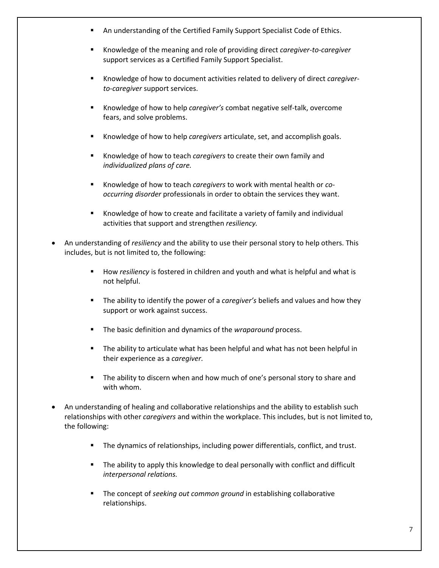- **An understanding of the Certified Family Support Specialist Code of Ethics.**
- Knowledge of the meaning and role of providing direct *caregiver-to-caregiver*  support services as a Certified Family Support Specialist.
- Knowledge of how to document activities related to delivery of direct *caregiverto-caregiver* support services.
- Knowledge of how to help *caregiver's* combat negative self-talk, overcome fears, and solve problems.
- Knowledge of how to help *caregivers* articulate, set, and accomplish goals.
- Knowledge of how to teach *caregivers* to create their own family and *individualized plans of care.*
- Knowledge of how to teach *caregivers* to work with mental health or *cooccurring disorder* professionals in order to obtain the services they want.
- Knowledge of how to create and facilitate a variety of family and individual activities that support and strengthen *resiliency.*
- An understanding of *resiliency* and the ability to use their personal story to help others. This includes, but is not limited to, the following:
	- How *resiliency* is fostered in children and youth and what is helpful and what is not helpful.
	- The ability to identify the power of a *caregiver's* beliefs and values and how they support or work against success.
	- The basic definition and dynamics of the *wraparound* process.
	- The ability to articulate what has been helpful and what has not been helpful in their experience as a *caregiver.*
	- **The ability to discern when and how much of one's personal story to share and** with whom.
- An understanding of healing and collaborative relationships and the ability to establish such relationships with other *caregivers* and within the workplace. This includes, but is not limited to, the following:
	- **The dynamics of relationships, including power differentials, conflict, and trust.**
	- **The ability to apply this knowledge to deal personally with conflict and difficult** *interpersonal relations.*
	- **The concept of** *seeking out common ground* **in establishing collaborative** relationships.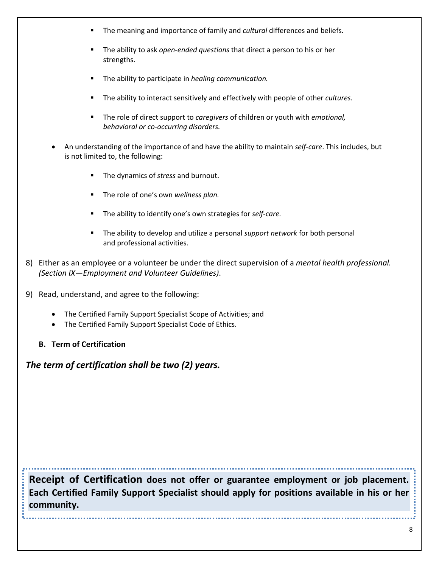- The meaning and importance of family and *cultural* differences and beliefs.
- The ability to ask *open-ended questions* that direct a person to his or her strengths.
- The ability to participate in *healing communication.*
- The ability to interact sensitively and effectively with people of other *cultures.*
- The role of direct support to *caregivers* of children or youth with *emotional, behavioral or co-occurring disorders.*
- An understanding of the importance of and have the ability to maintain *self-care*. This includes, but is not limited to, the following:
	- The dynamics of *stress* and burnout.
	- The role of one's own *wellness plan.*
	- The ability to identify one's own strategies for *self-care.*
	- The ability to develop and utilize a personal *support network* for both personal and professional activities.
- 8) Either as an employee or a volunteer be under the direct supervision of a *mental health professional. (Section IX—Employment and Volunteer Guidelines)*.
- 9) Read, understand, and agree to the following:
	- The Certified Family Support Specialist Scope of Activities; and
	- The Certified Family Support Specialist Code of Ethics.
	- **B. Term of Certification**

*The term of certification shall be two (2) years.*

**Receipt of Certification does not offer or guarantee employment or job placement. Each Certified Family Support Specialist should apply for positions available in his or her community.**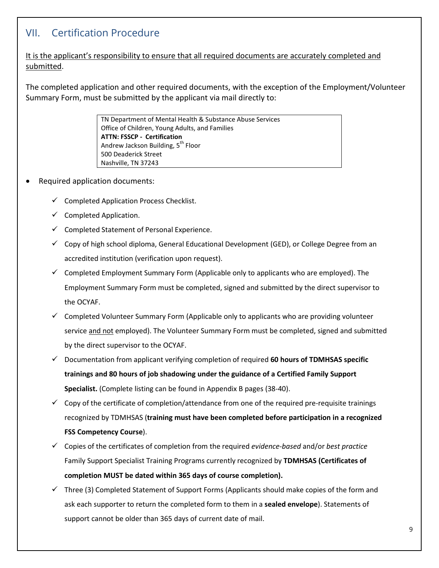### VII. Certification Procedure

It is the applicant's responsibility to ensure that all required documents are accurately completed and submitted.

The completed application and other required documents, with the exception of the Employment/Volunteer Summary Form, must be submitted by the applicant via mail directly to:

> TN Department of Mental Health & Substance Abuse Services Office of Children, Young Adults, and Families **ATTN: FSSCP - Certification** Andrew Jackson Building, 5<sup>th</sup> Floor 500 Deaderick Street Nashville, TN 37243

- Required application documents:
	- $\checkmark$  Completed Application Process Checklist.
	- $\checkmark$  Completed Application.
	- $\checkmark$  Completed Statement of Personal Experience.
	- $\checkmark$  Copy of high school diploma, General Educational Development (GED), or College Degree from an accredited institution (verification upon request).
	- $\checkmark$  Completed Employment Summary Form (Applicable only to applicants who are employed). The Employment Summary Form must be completed, signed and submitted by the direct supervisor to the OCYAF.
	- $\checkmark$  Completed Volunteer Summary Form (Applicable only to applicants who are providing volunteer service and not employed). The Volunteer Summary Form must be completed, signed and submitted by the direct supervisor to the OCYAF.
	- Documentation from applicant verifying completion of required **60 hours of TDMHSAS specific trainings and 80 hours of job shadowing under the guidance of a Certified Family Support Specialist.** (Complete listing can be found in Appendix B pages (38-40).
	- $\checkmark$  Copy of the certificate of completion/attendance from one of the required pre-requisite trainings recognized by TDMHSAS (**training must have been completed before participation in a recognized FSS Competency Course**).
	- Copies of the certificates of completion from the required *evidence-based* and/or *best practice* Family Support Specialist Training Programs currently recognized by **TDMHSAS (Certificates of completion MUST be dated within 365 days of course completion).**
	- $\checkmark$  Three (3) Completed Statement of Support Forms (Applicants should make copies of the form and ask each supporter to return the completed form to them in a **sealed envelope**). Statements of support cannot be older than 365 days of current date of mail.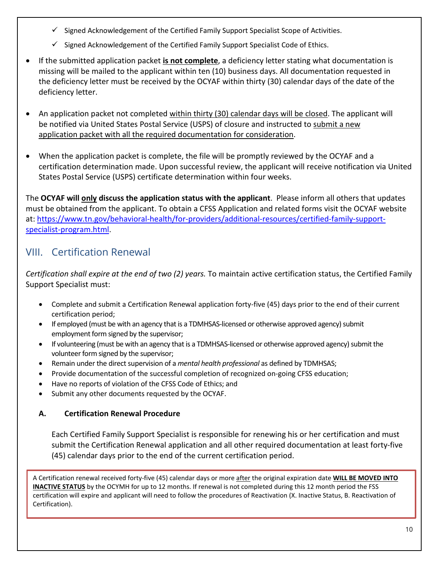- $\checkmark$  Signed Acknowledgement of the Certified Family Support Specialist Scope of Activities.
- $\checkmark$  Signed Acknowledgement of the Certified Family Support Specialist Code of Ethics.
- If the submitted application packet **is not complete**, a deficiency letter stating what documentation is missing will be mailed to the applicant within ten (10) business days. All documentation requested in the deficiency letter must be received by the OCYAF within thirty (30) calendar days of the date of the deficiency letter.
- An application packet not completed within thirty (30) calendar days will be closed. The applicant will be notified via United States Postal Service (USPS) of closure and instructed to submit a new application packet with all the required documentation for consideration.
- When the application packet is complete, the file will be promptly reviewed by the OCYAF and a certification determination made. Upon successful review, the applicant will receive notification via United States Postal Service (USPS) certificate determination within four weeks.

The **OCYAF will only discuss the application status with the applicant**. Please inform all others that updates must be obtained from the applicant. To obtain a CFSS Application and related forms visit the OCYAF website at[: https://www.tn.gov/behavioral-health/for-providers/additional-resources/certified-family-support](https://www.tn.gov/behavioral-health/for-providers/additional-resources/certified-family-support-specialist-program.html)[specialist-program.html.](https://www.tn.gov/behavioral-health/for-providers/additional-resources/certified-family-support-specialist-program.html)

### VIII. Certification Renewal

*Certification shall expire at the end of two (2) years.* To maintain active certification status, the Certified Family Support Specialist must:

- Complete and submit a Certification Renewal application forty-five (45) days prior to the end of their current certification period;
- If employed (must be with an agency that is a TDMHSAS-licensed or otherwise approved agency) submit employment form signed by the supervisor;
- If volunteering (must be with an agency that is a TDMHSAS-licensed or otherwise approved agency) submit the volunteer form signed by the supervisor;
- Remain under the direct supervision of a *mental health professional* as defined by TDMHSAS;
- Provide documentation of the successful completion of recognized on-going CFSS education;
- Have no reports of violation of the CFSS Code of Ethics; and
- Submit any other documents requested by the OCYAF.

### **A. Certification Renewal Procedure**

Each Certified Family Support Specialist is responsible for renewing his or her certification and must submit the Certification Renewal application and all other required documentation at least forty-five (45) calendar days prior to the end of the current certification period.

A Certification renewal received forty-five (45) calendar days or more after the original expiration date **WILL BE MOVED INTO INACTIVE STATUS** by the OCYMH for up to 12 months. If renewal is not completed during this 12 month period the FSS certification will expire and applicant will need to follow the procedures of Reactivation (X. Inactive Status, B. Reactivation of Certification).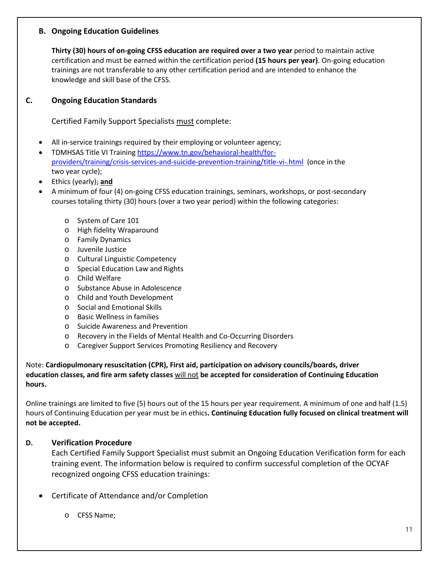#### **B. Ongoing Education Guidelines**

**Thirty (30) hours of on-going CFSS education are required over a two year** period to maintain active certification and must be earned within the certification period **(15 hours per year)**. On-going education trainings are not transferable to any other certification period and are intended to enhance the knowledge and skill base of the CFSS.

#### **C. Ongoing Education Standards**

Certified Family Support Specialists must complete:

- All in-service trainings required by their employing or volunteer agency;
- TDMHSAS Title VI Training [https://www.tn.gov/behavioral-health/for](https://www.tn.gov/behavioral-health/for-providers/training/crisis-services-and-suicide-prevention-training/title-vi-.html)[providers/training/crisis-services-and-suicide-prevention-training/title-vi-.html](https://www.tn.gov/behavioral-health/for-providers/training/crisis-services-and-suicide-prevention-training/title-vi-.html) (once in the two year cycle);
- Ethics (yearly); **and**
- A minimum of four (4) on-going CFSS education trainings, seminars, workshops, or post-secondary courses totaling thirty (30) hours (over a two year period) within the following categories:
	- o System of Care 101
	- o High fidelity Wraparound
	- o Family Dynamics
	- o Juvenile Justice
	- o Cultural Linguistic Competency
	- o Special Education Law and Rights
	- o Child Welfare
	- o Substance Abuse in Adolescence
	- o Child and Youth Development
	- o Social and Emotional Skills
	- o Basic Wellness in families
	- o Suicide Awareness and Prevention
	- o Recovery in the Fields of Mental Health and Co-Occurring Disorders
	- o Caregiver Support Services Promoting Resiliency and Recovery

Note: **[Cardiopulmonary resuscitation \(CPR\), First aid, participation on advisory councils/boards, driver](https://www.mayoclinic.org/first-aid/first-aid-cpr/basics/art-20056600)  [education classes, a](https://www.mayoclinic.org/first-aid/first-aid-cpr/basics/art-20056600)nd fire arm safety classes** will not **be accepted for consideration of Continuing Education hours.**

Online trainings are limited to five (5) hours out of the 15 hours per year requirement. A minimum of one and half (1.5) hours of Continuing Education per year must be in ethics**. Continuing Education fully focused on clinical treatment will not be accepted.** 

#### **D. Verification Procedure**

Each Certified Family Support Specialist must submit an Ongoing Education Verification form for each training event. The information below is required to confirm successful completion of the OCYAF recognized ongoing CFSS education trainings:

- Certificate of Attendance and/or Completion
	- o CFSS Name;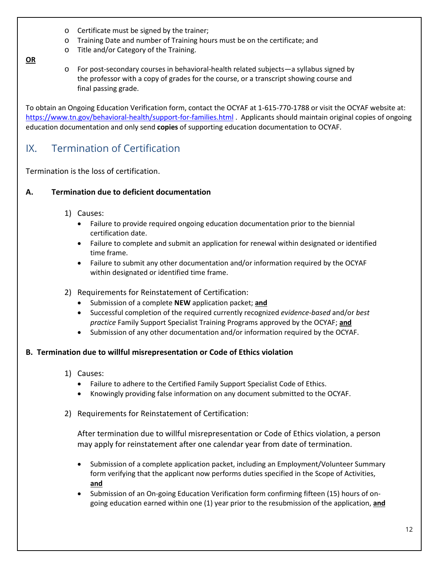- o Certificate must be signed by the trainer;
- o Training Date and number of Training hours must be on the certificate; and
- o Title and/or Category of the Training.

**OR**

o For post-secondary courses in behavioral-health related subjects—a syllabus signed by the professor with a copy of grades for the course, or a transcript showing course and final passing grade.

To obtain an Ongoing Education Verification form, contact the OCYAF at 1-615-770-1788 or visit the OCYAF website at: <https://www.tn.gov/behavioral-health/support-for-families.html> . Applicants should maintain original copies of ongoing education documentation and only send **copies** of supporting education documentation to OCYAF.

### IX. Termination of Certification

Termination is the loss of certification.

#### **A. Termination due to deficient documentation**

- 1) Causes:
	- Failure to provide required ongoing education documentation prior to the biennial certification date.
	- Failure to complete and submit an application for renewal within designated or identified time frame.
	- Failure to submit any other documentation and/or information required by the OCYAF within designated or identified time frame.
- 2) Requirements for Reinstatement of Certification:
	- Submission of a complete **NEW** application packet; **and**
	- Successful completion of the required currently recognized *evidence-based* and/or *best practice* Family Support Specialist Training Programs approved by the OCYAF; **and**
	- Submission of any other documentation and/or information required by the OCYAF.

#### **B. Termination due to willful misrepresentation or Code of Ethics violation**

- 1) Causes:
	- Failure to adhere to the Certified Family Support Specialist Code of Ethics.
	- Knowingly providing false information on any document submitted to the OCYAF.
- 2) Requirements for Reinstatement of Certification:

After termination due to willful misrepresentation or Code of Ethics violation, a person may apply for reinstatement after one calendar year from date of termination.

- Submission of a complete application packet, including an Employment/Volunteer Summary form verifying that the applicant now performs duties specified in the Scope of Activities, **and**
- Submission of an On-going Education Verification form confirming fifteen (15) hours of ongoing education earned within one (1) year prior to the resubmission of the application, **and**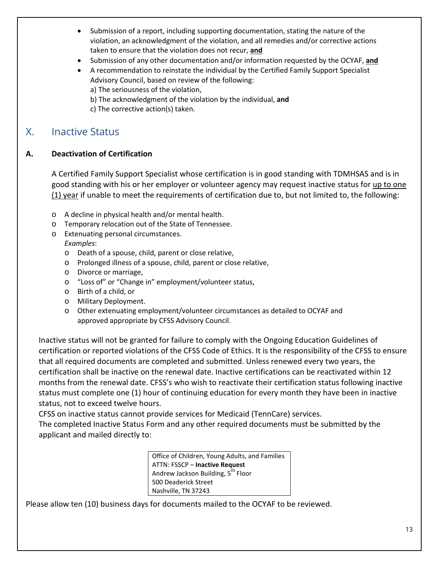- Submission of a report, including supporting documentation, stating the nature of the violation, an acknowledgment of the violation, and all remedies and/or corrective actions taken to ensure that the violation does not recur, **and**
- Submission of any other documentation and/or information requested by the OCYAF, **and**
- A recommendation to reinstate the individual by the Certified Family Support Specialist Advisory Council, based on review of the following: a) The seriousness of the violation,

b) The acknowledgment of the violation by the individual, **and**

c) The corrective action(s) taken.

### X. Inactive Status

#### **A. Deactivation of Certification**

A Certified Family Support Specialist whose certification is in good standing with TDMHSAS and is in good standing with his or her employer or volunteer agency may request inactive status for up to one  $(1)$  year if unable to meet the requirements of certification due to, but not limited to, the following:

- o A decline in physical health and/or mental health.
- o Temporary relocation out of the State of Tennessee.
- o Extenuating personal circumstances. *Examples*:
	- o Death of a spouse, child, parent or close relative,
	- o Prolonged illness of a spouse, child, parent or close relative,
	- o Divorce or marriage,
	- o "Loss of" or "Change in" employment/volunteer status,
	- o Birth of a child, or
	- o Military Deployment.
	- o Other extenuating employment/volunteer circumstances as detailed to OCYAF and approved appropriate by CFSS Advisory Council.

Inactive status will not be granted for failure to comply with the Ongoing Education Guidelines of certification or reported violations of the CFSS Code of Ethics. It is the responsibility of the CFSS to ensure that all required documents are completed and submitted. Unless renewed every two years, the certification shall be inactive on the renewal date. Inactive certifications can be reactivated within 12 months from the renewal date. CFSS's who wish to reactivate their certification status following inactive status must complete one (1) hour of continuing education for every month they have been in inactive status, not to exceed twelve hours.

CFSS on inactive status cannot provide services for Medicaid (TennCare) services.

The completed Inactive Status Form and any other required documents must be submitted by the applicant and mailed directly to:

> Office of Children, Young Adults, and Families ATTN: FSSCP – **Inactive Request** Andrew Jackson Building, 5<sup>th</sup> Floor 500 Deaderick Street Nashville, TN 37243

Please allow ten (10) business days for documents mailed to the OCYAF to be reviewed.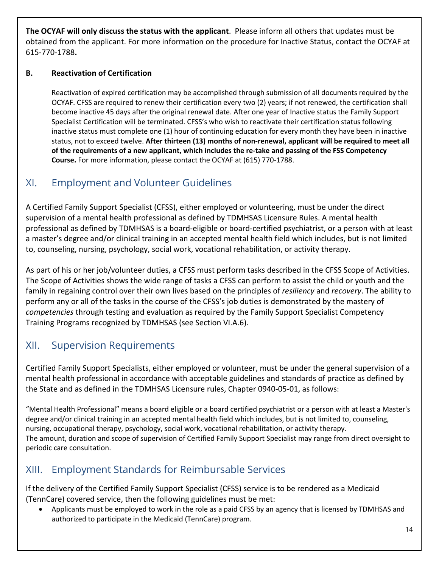**The OCYAF will only discuss the status with the applicant**. Please inform all others that updates must be obtained from the applicant. For more information on the procedure for Inactive Status, contact the OCYAF at 615-770-1788**.**

#### **B. Reactivation of Certification**

Reactivation of expired certification may be accomplished through submission of all documents required by the OCYAF. CFSS are required to renew their certification every two (2) years; if not renewed, the certification shall become inactive 45 days after the original renewal date. After one year of Inactive status the Family Support Specialist Certification will be terminated. CFSS's who wish to reactivate their certification status following inactive status must complete one (1) hour of continuing education for every month they have been in inactive status, not to exceed twelve. **After thirteen (13) months of non-renewal, applicant will be required to meet all of the requirements of a new applicant, which includes the re-take and passing of the FSS Competency Course.** For more information, please contact the OCYAF at (615) 770-1788.

### XI. Employment and Volunteer Guidelines

A Certified Family Support Specialist (CFSS), either employed or volunteering, must be under the direct supervision of a mental health professional as defined by TDMHSAS Licensure Rules. A mental health professional as defined by TDMHSAS is a board-eligible or board-certified psychiatrist, or a person with at least a master's degree and/or clinical training in an accepted mental health field which includes, but is not limited to, counseling, nursing, psychology, social work, vocational rehabilitation, or activity therapy.

As part of his or her job/volunteer duties, a CFSS must perform tasks described in the CFSS Scope of Activities. The Scope of Activities shows the wide range of tasks a CFSS can perform to assist the child or youth and the family in regaining control over their own lives based on the principles of *resiliency* and *recovery*. The ability to perform any or all of the tasks in the course of the CFSS's job duties is demonstrated by the mastery of *competencies* through testing and evaluation as required by the Family Support Specialist Competency Training Programs recognized by TDMHSAS (see Section VI.A.6).

### XII. Supervision Requirements

Certified Family Support Specialists, either employed or volunteer, must be under the general supervision of a mental health professional in accordance with acceptable guidelines and standards of practice as defined by the State and as defined in the TDMHSAS Licensure rules, Chapter 0940-05-01, as follows:

"Mental Health Professional" means a board eligible or a board certified psychiatrist or a person with at least a Master's degree and/or clinical training in an accepted mental health field which includes, but is not limited to, counseling, nursing, occupational therapy, psychology, social work, vocational rehabilitation, or activity therapy. The amount, duration and scope of supervision of Certified Family Support Specialist may range from direct oversight to periodic care consultation.

### XIII. Employment Standards for Reimbursable Services

If the delivery of the Certified Family Support Specialist (CFSS) service is to be rendered as a Medicaid (TennCare) covered service, then the following guidelines must be met:

• Applicants must be employed to work in the role as a paid CFSS by an agency that is licensed by TDMHSAS and authorized to participate in the Medicaid (TennCare) program.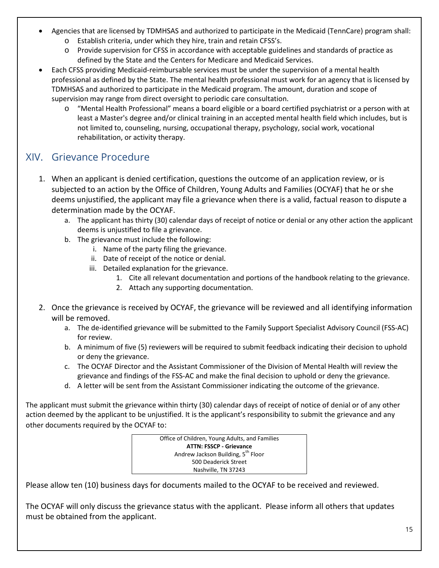- Agencies that are licensed by TDMHSAS and authorized to participate in the Medicaid (TennCare) program shall:
	- o Establish criteria, under which they hire, train and retain CFSS's.
	- o Provide supervision for CFSS in accordance with acceptable guidelines and standards of practice as defined by the State and the Centers for Medicare and Medicaid Services.
- Each CFSS providing Medicaid-reimbursable services must be under the supervision of a mental health professional as defined by the State. The mental health professional must work for an agency that is licensed by TDMHSAS and authorized to participate in the Medicaid program. The amount, duration and scope of supervision may range from direct oversight to periodic care consultation.
	- o "Mental Health Professional" means a board eligible or a board certified psychiatrist or a person with at least a Master's degree and/or clinical training in an accepted mental health field which includes, but is not limited to, counseling, nursing, occupational therapy, psychology, social work, vocational rehabilitation, or activity therapy.

### XIV. Grievance Procedure

- 1. When an applicant is denied certification, questions the outcome of an application review, or is subjected to an action by the Office of Children, Young Adults and Families (OCYAF) that he or she deems unjustified, the applicant may file a grievance when there is a valid, factual reason to dispute a determination made by the OCYAF.
	- a. The applicant has thirty (30) calendar days of receipt of notice or denial or any other action the applicant deems is unjustified to file a grievance.
	- b. The grievance must include the following:
		- i. Name of the party filing the grievance.
		- ii. Date of receipt of the notice or denial.
		- iii. Detailed explanation for the grievance.
			- 1. Cite all relevant documentation and portions of the handbook relating to the grievance.
			- 2. Attach any supporting documentation.
- 2. Once the grievance is received by OCYAF, the grievance will be reviewed and all identifying information will be removed.
	- a. The de-identified grievance will be submitted to the Family Support Specialist Advisory Council (FSS-AC) for review.
	- b. A minimum of five (5) reviewers will be required to submit feedback indicating their decision to uphold or deny the grievance.
	- c. The OCYAF Director and the Assistant Commissioner of the Division of Mental Health will review the grievance and findings of the FSS-AC and make the final decision to uphold or deny the grievance.
	- d. A letter will be sent from the Assistant Commissioner indicating the outcome of the grievance.

The applicant must submit the grievance within thirty (30) calendar days of receipt of notice of denial or of any other action deemed by the applicant to be unjustified. It is the applicant's responsibility to submit the grievance and any other documents required by the OCYAF to:



Please allow ten (10) business days for documents mailed to the OCYAF to be received and reviewed.

The OCYAF will only discuss the grievance status with the applicant. Please inform all others that updates must be obtained from the applicant.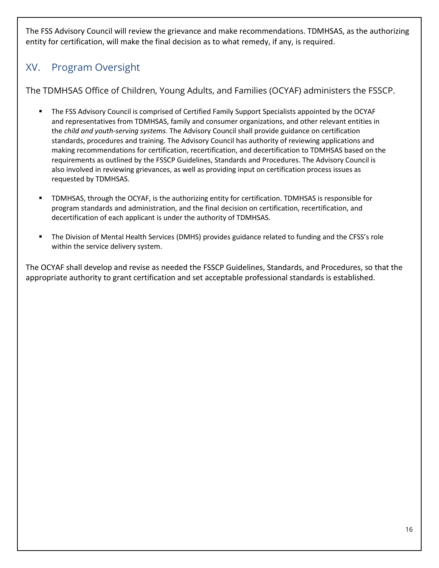The FSS Advisory Council will review the grievance and make recommendations. TDMHSAS, as the authorizing entity for certification, will make the final decision as to what remedy, if any, is required.

### XV. Program Oversight

The TDMHSAS Office of Children, Young Adults, and Families (OCYAF) administers the FSSCP.

- The FSS Advisory Council is comprised of Certified Family Support Specialists appointed by the OCYAF and representatives from TDMHSAS, family and consumer organizations, and other relevant entities in the *child and youth-serving systems*. The Advisory Council shall provide guidance on certification standards, procedures and training. The Advisory Council has authority of reviewing applications and making recommendations for certification, recertification, and decertification to TDMHSAS based on the requirements as outlined by the FSSCP Guidelines, Standards and Procedures. The Advisory Council is also involved in reviewing grievances, as well as providing input on certification process issues as requested by TDMHSAS.
- TDMHSAS, through the OCYAF, is the authorizing entity for certification. TDMHSAS is responsible for program standards and administration, and the final decision on certification, recertification, and decertification of each applicant is under the authority of TDMHSAS.
- The Division of Mental Health Services (DMHS) provides guidance related to funding and the CFSS's role within the service delivery system.

The OCYAF shall develop and revise as needed the FSSCP Guidelines, Standards, and Procedures, so that the appropriate authority to grant certification and set acceptable professional standards is established.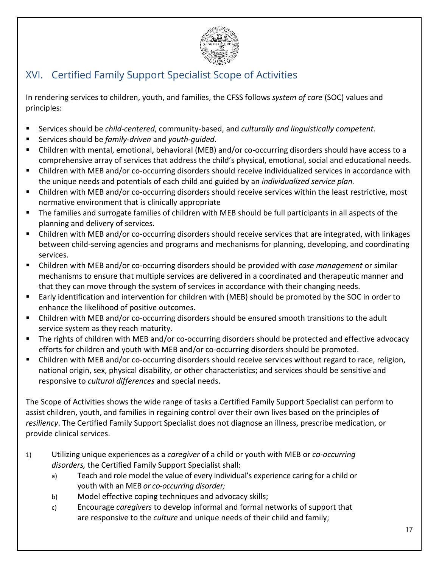

### XVI. Certified Family Support Specialist Scope of Activities

In rendering services to children, youth, and families, the CFSS follows *system of care* (SOC) values and principles:

- Services should be *child-centered*, community-based, and *culturally and linguistically competent.*
- Services should be *family-driven* and *youth-guided*.
- Children with mental, emotional, behavioral (MEB) and/or co-occurring disorders should have access to a comprehensive array of services that address the child's physical, emotional, social and educational needs.
- Children with MEB and/or co-occurring disorders should receive individualized services in accordance with the unique needs and potentials of each child and guided by an *individualized service plan.*
- Children with MEB and/or co-occurring disorders should receive services within the least restrictive, most normative environment that is clinically appropriate
- The families and surrogate families of children with MEB should be full participants in all aspects of the planning and delivery of services.
- Children with MEB and/or co-occurring disorders should receive services that are integrated, with linkages between child-serving agencies and programs and mechanisms for planning, developing, and coordinating services.
- Children with MEB and/or co-occurring disorders should be provided with *case management* or similar mechanisms to ensure that multiple services are delivered in a coordinated and therapeutic manner and that they can move through the system of services in accordance with their changing needs.
- Early identification and intervention for children with (MEB) should be promoted by the SOC in order to enhance the likelihood of positive outcomes.
- Children with MEB and/or co-occurring disorders should be ensured smooth transitions to the adult service system as they reach maturity.
- The rights of children with MEB and/or co-occurring disorders should be protected and effective advocacy efforts for children and youth with MEB and/or co-occurring disorders should be promoted.
- Children with MEB and/or co-occurring disorders should receive services without regard to race, religion, national origin, sex, physical disability, or other characteristics; and services should be sensitive and responsive to *cultural differences* and special needs.

The Scope of Activities shows the wide range of tasks a Certified Family Support Specialist can perform to assist children, youth, and families in regaining control over their own lives based on the principles of *resiliency*. The Certified Family Support Specialist does not diagnose an illness, prescribe medication, or provide clinical services.

- 1) Utilizing unique experiences as a *caregiver* of a child or youth with MEB or *co-occurring disorders,* the Certified Family Support Specialist shall:
	- a) Teach and role model the value of every individual's experience caring for a child or youth with an MEB *or co-occurring disorder;*
	- b) Model effective coping techniques and advocacy skills;
	- c) Encourage *caregivers* to develop informal and formal networks of support that are responsive to the *culture* and unique needs of their child and family;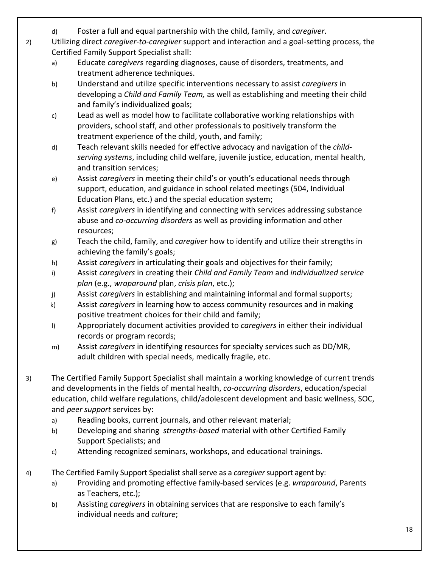- d) Foster a full and equal partnership with the child, family, and *caregiver*.
- 2) Utilizing direct *caregiver-to-caregiver* support and interaction and a goal-setting process, the Certified Family Support Specialist shall:
	- a) Educate *caregivers* regarding diagnoses, cause of disorders, treatments, and treatment adherence techniques.
	- b) Understand and utilize specific interventions necessary to assist *caregivers* in developing a *Child and Family Team,* as well as establishing and meeting their child and family's individualized goals;
	- c) Lead as well as model how to facilitate collaborative working relationships with providers, school staff, and other professionals to positively transform the treatment experience of the child, youth, and family;
	- d) Teach relevant skills needed for effective advocacy and navigation of the *childserving systems*, including child welfare, juvenile justice, education, mental health, and transition services;
	- e) Assist *caregivers* in meeting their child's or youth's educational needs through support, education, and guidance in school related meetings (504, Individual Education Plans, etc.) and the special education system;
	- f) Assist *caregivers* in identifying and connecting with services addressing substance abuse and *co-occurring disorders* as well as providing information and other resources;
	- g) Teach the child, family, and *caregiver* how to identify and utilize their strengths in achieving the family's goals;
	- h) Assist *caregivers* in articulating their goals and objectives for their family;
	- i) Assist *caregivers* in creating their *Child and Family Team* and *individualized service plan* (e.g., *wraparound* plan, *crisis plan*, etc.);
	- j) Assist *caregivers* in establishing and maintaining informal and formal supports;
	- k) Assist *caregivers* in learning how to access community resources and in making positive treatment choices for their child and family;
	- l) Appropriately document activities provided to *caregivers* in either their individual records or program records;
	- m) Assist *caregivers* in identifying resources for specialty services such as DD/MR, adult children with special needs, medically fragile, etc.
- 3) The Certified Family Support Specialist shall maintain a working knowledge of current trends and developments in the fields of mental health, *co-occurring disorders*, education/special education, child welfare regulations, child/adolescent development and basic wellness, SOC, and *peer support* services by:
	- a) Reading books, current journals, and other relevant material;
	- b) Developing and sharing *strengths-based* material with other Certified Family Support Specialists; and
	- c) Attending recognized seminars, workshops, and educational trainings.
- 4) The Certified Family Support Specialist shall serve as a *caregiver* support agent by:
	- a) Providing and promoting effective family-based services (e.g. *wraparound*, Parents as Teachers, etc.);
	- b) Assisting *caregivers* in obtaining services that are responsive to each family's individual needs and *culture*;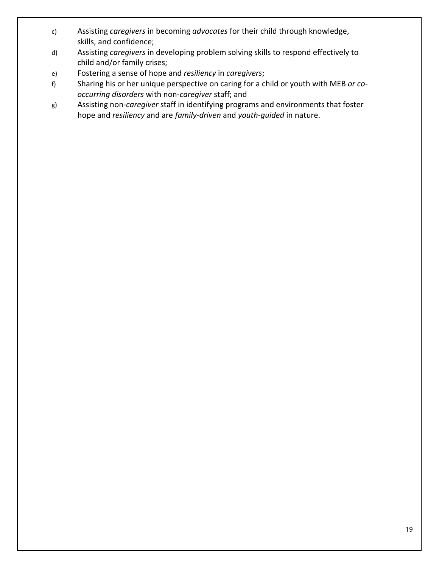- c) Assisting *caregivers* in becoming *advocates* for their child through knowledge, skills, and confidence;
- d) Assisting *caregivers* in developing problem solving skills to respond effectively to child and/or family crises;
- e) Fostering a sense of hope and *resiliency* in *caregivers*;
- f) Sharing his or her unique perspective on caring for a child or youth with MEB *or cooccurring disorders* with non-*caregiver* staff; and
- g) Assisting non-*caregiver* staff in identifying programs and environments that foster hope and *resiliency* and are *family-driven* and *youth-guided* in nature.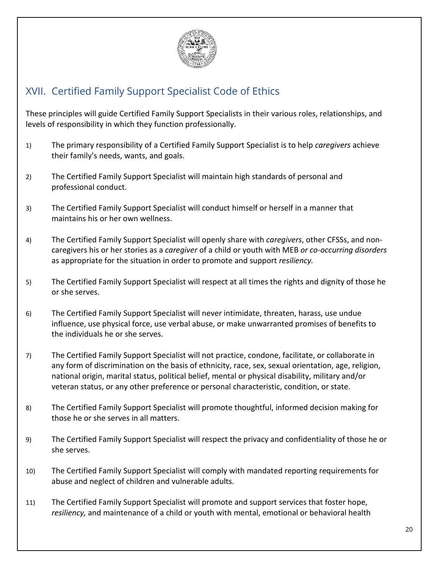

### XVII. Certified Family Support Specialist Code of Ethics

These principles will guide Certified Family Support Specialists in their various roles, relationships, and levels of responsibility in which they function professionally.

- 1) The primary responsibility of a Certified Family Support Specialist is to help *caregivers* achieve their family's needs, wants, and goals.
- 2) The Certified Family Support Specialist will maintain high standards of personal and professional conduct.
- 3) The Certified Family Support Specialist will conduct himself or herself in a manner that maintains his or her own wellness.
- 4) The Certified Family Support Specialist will openly share with *caregivers*, other CFSSs, and noncaregivers his or her stories as a *caregiver* of a child or youth with MEB *or co-occurring disorders* as appropriate for the situation in order to promote and support *resiliency.*
- 5) The Certified Family Support Specialist will respect at all times the rights and dignity of those he or she serves.
- 6) The Certified Family Support Specialist will never intimidate, threaten, harass, use undue influence, use physical force, use verbal abuse, or make unwarranted promises of benefits to the individuals he or she serves.
- 7) The Certified Family Support Specialist will not practice, condone, facilitate, or collaborate in any form of discrimination on the basis of ethnicity, race, sex, sexual orientation, age, religion, national origin, marital status, political belief, mental or physical disability, military and/or veteran status, or any other preference or personal characteristic, condition, or state.
- 8) The Certified Family Support Specialist will promote thoughtful, informed decision making for those he or she serves in all matters.
- 9) The Certified Family Support Specialist will respect the privacy and confidentiality of those he or she serves.
- 10) The Certified Family Support Specialist will comply with mandated reporting requirements for abuse and neglect of children and vulnerable adults.
- 11) The Certified Family Support Specialist will promote and support services that foster hope, *resiliency,* and maintenance of a child or youth with mental, emotional or behavioral health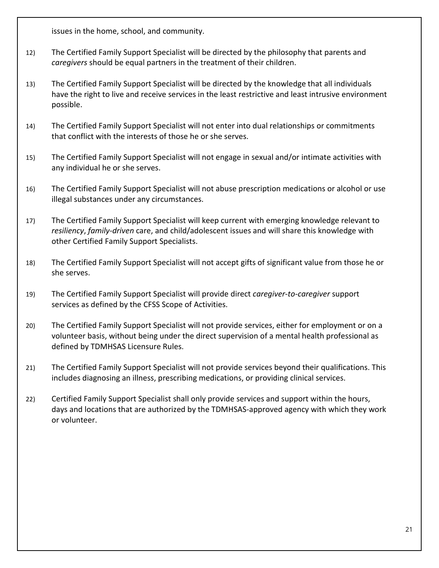issues in the home, school, and community.

- 12) The Certified Family Support Specialist will be directed by the philosophy that parents and *caregivers* should be equal partners in the treatment of their children.
- 13) The Certified Family Support Specialist will be directed by the knowledge that all individuals have the right to live and receive services in the least restrictive and least intrusive environment possible.
- 14) The Certified Family Support Specialist will not enter into dual relationships or commitments that conflict with the interests of those he or she serves.
- 15) The Certified Family Support Specialist will not engage in sexual and/or intimate activities with any individual he or she serves.
- 16) The Certified Family Support Specialist will not abuse prescription medications or alcohol or use illegal substances under any circumstances.
- 17) The Certified Family Support Specialist will keep current with emerging knowledge relevant to *resiliency*, *family-driven* care, and child/adolescent issues and will share this knowledge with other Certified Family Support Specialists.
- 18) The Certified Family Support Specialist will not accept gifts of significant value from those he or she serves.
- 19) The Certified Family Support Specialist will provide direct *caregiver-to-caregiver* support services as defined by the CFSS Scope of Activities.
- 20) The Certified Family Support Specialist will not provide services, either for employment or on a volunteer basis, without being under the direct supervision of a mental health professional as defined by TDMHSAS Licensure Rules.
- 21) The Certified Family Support Specialist will not provide services beyond their qualifications. This includes diagnosing an illness, prescribing medications, or providing clinical services.
- 22) Certified Family Support Specialist shall only provide services and support within the hours, days and locations that are authorized by the TDMHSAS-approved agency with which they work or volunteer.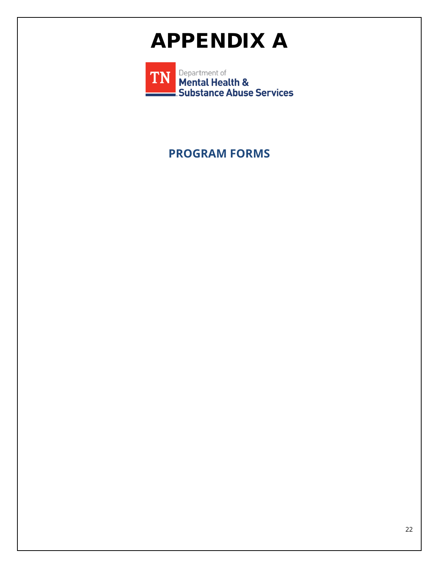## APPENDIX A

Department of<br>Mental Health & **TN** Substance Abuse Services

**PROGRAM FORMS**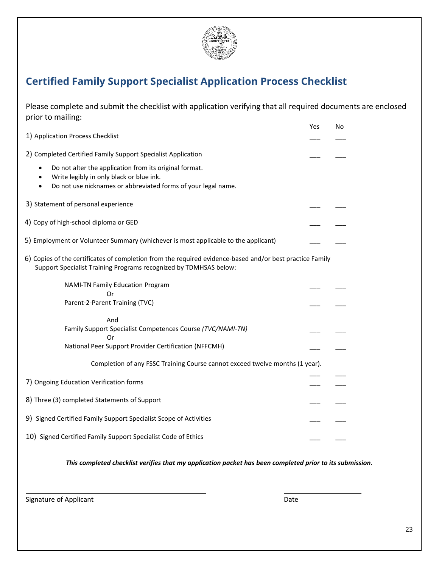

### **Certified Family Support Specialist Application Process Checklist**

Please complete and submit the checklist with application verifying that all required documents are enclosed prior to mailing:

|                                                                                                                                                                               | Yes | No |
|-------------------------------------------------------------------------------------------------------------------------------------------------------------------------------|-----|----|
| 1) Application Process Checklist                                                                                                                                              |     |    |
| 2) Completed Certified Family Support Specialist Application                                                                                                                  |     |    |
| Do not alter the application from its original format.<br>$\bullet$<br>Write legibly in only black or blue ink.<br>$\bullet$                                                  |     |    |
| Do not use nicknames or abbreviated forms of your legal name.<br>٠                                                                                                            |     |    |
| 3) Statement of personal experience                                                                                                                                           |     |    |
| 4) Copy of high-school diploma or GED                                                                                                                                         |     |    |
| 5) Employment or Volunteer Summary (whichever is most applicable to the applicant)                                                                                            |     |    |
| 6) Copies of the certificates of completion from the required evidence-based and/or best practice Family<br>Support Specialist Training Programs recognized by TDMHSAS below: |     |    |
| <b>NAMI-TN Family Education Program</b><br>Or                                                                                                                                 |     |    |
| Parent-2-Parent Training (TVC)                                                                                                                                                |     |    |
| And                                                                                                                                                                           |     |    |
| Family Support Specialist Competences Course (TVC/NAMI-TN)<br>Or                                                                                                              |     |    |
| National Peer Support Provider Certification (NFFCMH)                                                                                                                         |     |    |
| Completion of any FSSC Training Course cannot exceed twelve months (1 year).                                                                                                  |     |    |
| 7) Ongoing Education Verification forms                                                                                                                                       |     |    |
| 8) Three (3) completed Statements of Support                                                                                                                                  |     |    |
| 9) Signed Certified Family Support Specialist Scope of Activities                                                                                                             |     |    |
| 10) Signed Certified Family Support Specialist Code of Ethics                                                                                                                 |     |    |

#### *This completed checklist verifies that my application packet has been completed prior to its submission.*

Signature of Applicant Date Communications and Date Date Date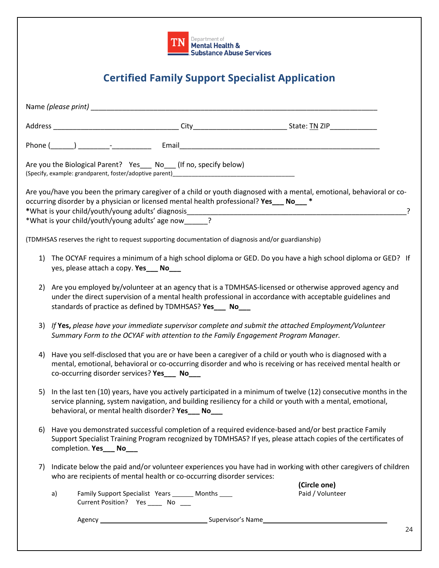| <b>TN</b> Department of <b>TN</b> Mental Health & |
|---------------------------------------------------|
| Substance Abuse Services                          |

### **Certified Family Support Specialist Application**

|    |    |                                         | Are you the Biological Parent? Yes___ No___ (If no, specify below)                                |                                                                                                                                                                                                                                    |
|----|----|-----------------------------------------|---------------------------------------------------------------------------------------------------|------------------------------------------------------------------------------------------------------------------------------------------------------------------------------------------------------------------------------------|
|    |    |                                         | occurring disorder by a physician or licensed mental health professional? Yes ___ No___ *         | Are you/have you been the primary caregiver of a child or youth diagnosed with a mental, emotional, behavioral or co-<br>-?                                                                                                        |
|    |    |                                         | *What is your child/youth/young adults' age now 1.                                                |                                                                                                                                                                                                                                    |
|    |    |                                         | (TDMHSAS reserves the right to request supporting documentation of diagnosis and/or guardianship) |                                                                                                                                                                                                                                    |
|    |    | yes, please attach a copy. Yes___ No___ |                                                                                                   | 1) The OCYAF requires a minimum of a high school diploma or GED. Do you have a high school diploma or GED? If                                                                                                                      |
| 2) |    |                                         | standards of practice as defined by TDMHSAS? Yes___ No___                                         | Are you employed by/volunteer at an agency that is a TDMHSAS-licensed or otherwise approved agency and<br>under the direct supervision of a mental health professional in accordance with acceptable guidelines and                |
| 3) |    |                                         | Summary Form to the OCYAF with attention to the Family Engagement Program Manager.                | If Yes, please have your immediate supervisor complete and submit the attached Employment/Volunteer                                                                                                                                |
| 4) |    |                                         | co-occurring disorder services? Yes___ No___                                                      | Have you self-disclosed that you are or have been a caregiver of a child or youth who is diagnosed with a<br>mental, emotional, behavioral or co-occurring disorder and who is receiving or has received mental health or          |
|    |    |                                         | behavioral, or mental health disorder? Yes___ No___                                               | 5) In the last ten (10) years, have you actively participated in a minimum of twelve (12) consecutive months in the<br>service planning, system navigation, and building resiliency for a child or youth with a mental, emotional, |
| 6) |    | completion. Yes___ No___                |                                                                                                   | Have you demonstrated successful completion of a required evidence-based and/or best practice Family<br>Support Specialist Training Program recognized by TDMHSAS? If yes, please attach copies of the certificates of             |
| 7) |    |                                         | who are recipients of mental health or co-occurring disorder services:                            | Indicate below the paid and/or volunteer experiences you have had in working with other caregivers of children                                                                                                                     |
|    | a) |                                         | Family Support Specialist Years ______ Months ____<br>Current Position? Yes ______ No ____        | (Circle one)<br>Paid / Volunteer                                                                                                                                                                                                   |
|    |    |                                         |                                                                                                   |                                                                                                                                                                                                                                    |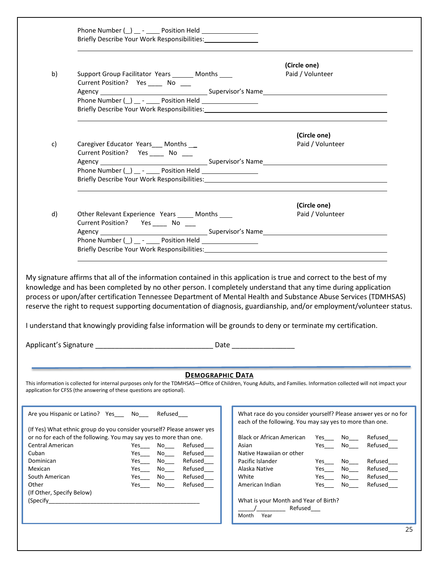|                                                                                                           | Briefly Describe Your Work Responsibilities: 1988                                                                                                                                                                                                                                                                                                                                                                                                                                                                                                                                                                                                                                                                                                                                                                                                                                                                                                          |    |
|-----------------------------------------------------------------------------------------------------------|------------------------------------------------------------------------------------------------------------------------------------------------------------------------------------------------------------------------------------------------------------------------------------------------------------------------------------------------------------------------------------------------------------------------------------------------------------------------------------------------------------------------------------------------------------------------------------------------------------------------------------------------------------------------------------------------------------------------------------------------------------------------------------------------------------------------------------------------------------------------------------------------------------------------------------------------------------|----|
| b)                                                                                                        | (Circle one)<br>Support Group Facilitator Years _______ Months ____<br>Paid / Volunteer<br>Current Position? Yes ______ No ____<br>Phone Number (_) _ - ____ Position Held _______________<br>Briefly Describe Your Work Responsibilities: Name of the Second Seconds of the Seconds of Seconds and Seconds                                                                                                                                                                                                                                                                                                                                                                                                                                                                                                                                                                                                                                                |    |
| c)                                                                                                        | (Circle one)<br>Paid / Volunteer<br>Caregiver Educator Years __ Months __<br>Current Position? Yes ______ No ____<br>Phone Number (_) __ - _____ Position Held __________________                                                                                                                                                                                                                                                                                                                                                                                                                                                                                                                                                                                                                                                                                                                                                                          |    |
| d)                                                                                                        | (Circle one)<br>Other Relevant Experience Years _____ Months ____<br>Paid / Volunteer<br>Current Position? Yes _______ No ____                                                                                                                                                                                                                                                                                                                                                                                                                                                                                                                                                                                                                                                                                                                                                                                                                             |    |
|                                                                                                           | My signature affirms that all of the information contained in this application is true and correct to the best of my<br>knowledge and has been completed by no other person. I completely understand that any time during application<br>process or upon/after certification Tennessee Department of Mental Health and Substance Abuse Services (TDMHSAS)<br>reserve the right to request supporting documentation of diagnosis, guardianship, and/or employment/volunteer status.<br>I understand that knowingly providing false information will be grounds to deny or terminate my certification.                                                                                                                                                                                                                                                                                                                                                       |    |
|                                                                                                           | Applicant's Signature <b>Applicant</b> 's Signature<br>Date                                                                                                                                                                                                                                                                                                                                                                                                                                                                                                                                                                                                                                                                                                                                                                                                                                                                                                |    |
|                                                                                                           | <b>DEMOGRAPHIC DATA</b><br>This information is collected for internal purposes only for the TDMHSAS-Office of Children, Young Adults, and Families. Information collected will not impact your<br>application for CFSS (the answering of these questions are optional).                                                                                                                                                                                                                                                                                                                                                                                                                                                                                                                                                                                                                                                                                    |    |
| Central American<br>Cuban<br>Dominican<br>Mexican<br>South American<br>Other<br>(If Other, Specify Below) | Are you Hispanic or Latino? Yes _____ No____<br>What race do you consider yourself? Please answer yes or no for<br>Refused____<br>each of the following. You may say yes to more than one.<br>(If Yes) What ethnic group do you consider yourself? Please answer yes<br>or no for each of the following. You may say yes to more than one.<br><b>Black or African American</b><br>Yes<br>Refused<br>$No$ <sub>____</sub><br>Refused<br>Refused<br>Asian<br>No<br>Refused<br>Native Hawaiian or other<br>$Yes$ No_____<br>Refused<br>Pacific Islander<br>Refused<br>$No$ <sub>____</sub><br>$No$ <sub>____</sub><br>Yes $\_\_$<br>Refused<br>Refused<br>Alaska Native<br>$No$ <sub>____</sub><br>$Yes$ <sub>____</sub><br>$Yes$ <sub>____</sub><br>No<br>Refused<br>White<br>Refused<br>Yes<br>Yes<br>Yes<br>Refused<br>American Indian<br>Refused_<br>No l<br>Yes<br>No l<br>(Specify<br>What is your Month and Year of Birth?<br>Refused<br>Month<br>Year | つら |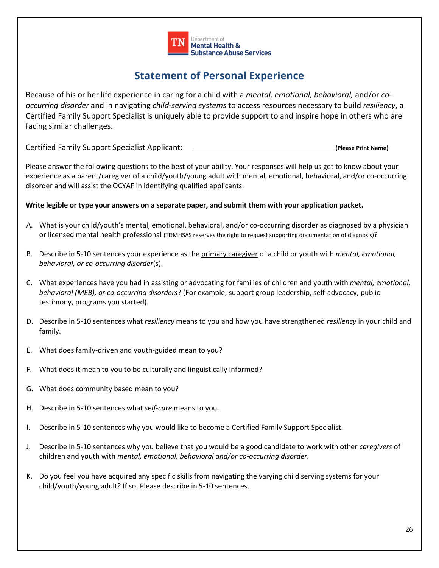

### **Statement of Personal Experience**

Because of his or her life experience in caring for a child with a *mental, emotional, behavioral,* and/or *cooccurring disorder* and in navigating *child-serving systems* to access resources necessary to build *resiliency*, a Certified Family Support Specialist is uniquely able to provide support to and inspire hope in others who are facing similar challenges.

Certified Family Support Specialist Applicant: **(Please Print Name)**

Please answer the following questions to the best of your ability. Your responses will help us get to know about your experience as a parent/caregiver of a child/youth/young adult with mental, emotional, behavioral, and/or co-occurring disorder and will assist the OCYAF in identifying qualified applicants.

#### **Write legible or type your answers on a separate paper, and submit them with your application packet.**

- A. What is your child/youth's mental, emotional, behavioral, and/or co-occurring disorder as diagnosed by a physician or licensed mental health professional (TDMHSAS reserves the right to request supporting documentation of diagnosis)?
- B. Describe in 5-10 sentences your experience as the primary caregiver of a child or youth with *mental, emotional, behavioral, or co-occurring disorder*(s).
- C. What experiences have you had in assisting or advocating for families of children and youth with *mental, emotional, behavioral (MEB), or co-occurring disorders*? (For example, support group leadership, self-advocacy, public testimony, programs you started).
- D. Describe in 5-10 sentences what *resiliency* means to you and how you have strengthened *resiliency* in your child and family.
- E. What does family-driven and youth-guided mean to you?
- F. What does it mean to you to be culturally and linguistically informed?
- G. What does community based mean to you?
- H. Describe in 5-10 sentences what *self-care* means to you.
- I. Describe in 5-10 sentences why you would like to become a Certified Family Support Specialist.
- J. Describe in 5-10 sentences why you believe that you would be a good candidate to work with other *caregivers* of children and youth with *mental, emotional, behavioral and/or co-occurring disorder.*
- K. Do you feel you have acquired any specific skills from navigating the varying child serving systems for your child/youth/young adult? If so. Please describe in 5-10 sentences.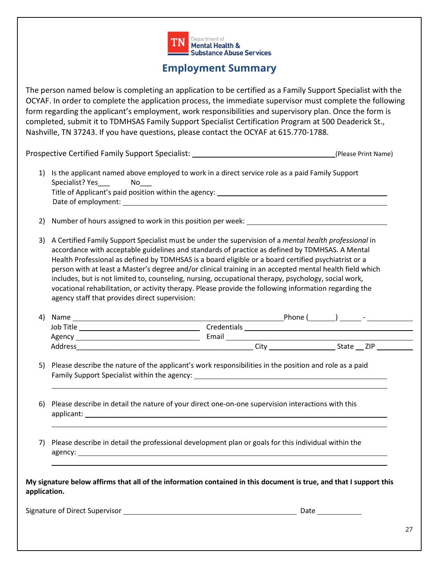

### **Employment Summary**

The person named below is completing an application to be certified as a Family Support Specialist with the OCYAF. In order to complete the application process, the immediate supervisor must complete the following form regarding the applicant's employment, work responsibilities and supervisory plan. Once the form is completed, submit it to TDMHSAS Family Support Specialist Certification Program at 500 Deaderick St., Nashville, TN 37243. If you have questions, please contact the OCYAF at 615.770-1788.

Prospective Certified Family Support Specialist: \_\_\_\_\_\_\_\_\_\_\_\_\_\_\_\_\_\_\_\_\_\_\_\_\_\_\_\_\_\_\_(Please Print Name)

- 1) Is the applicant named above employed to work in a direct service role as a paid Family Support Specialist? Yes \_\_\_\_\_\_\_ No Title of Applicant's paid position within the agency: Date of employment: \_
- 2) Number of hours assigned to work in this position per week:
- 3) A Certified Family Support Specialist must be under the supervision of a *mental health professional* in accordance with acceptable guidelines and standards of practice as defined by TDMHSAS. A Mental Health Professional as defined by TDMHSAS is a board eligible or a board certified psychiatrist or a person with at least a Master's degree and/or clinical training in an accepted mental health field which includes, but is not limited to, counseling, nursing, occupational therapy, psychology, social work, vocational rehabilitation, or activity therapy. Please provide the following information regarding the agency staff that provides direct supervision:

| Name<br>4) | Phone       | $\overline{\phantom{0}}$ |
|------------|-------------|--------------------------|
| Job Title  | Credentials |                          |
| Agency     | Email       |                          |
| Address    | Cit         | ZIP<br>State             |

- 5) Please describe the nature of the applicant's work responsibilities in the position and role as a paid Family Support Specialist within the agency: \_\_\_\_\_\_\_\_\_\_\_\_\_\_\_\_\_\_\_\_\_\_\_\_\_\_\_\_\_\_\_\_\_\_\_
- 6) Please describe in detail the nature of your direct one-on-one supervision interactions with this applicant:
- 7) Please describe in detail the professional development plan or goals for this individual within the agency:

| My signature below affirms that all of the information contained in this document is true, and that I support this |  |
|--------------------------------------------------------------------------------------------------------------------|--|
| application.                                                                                                       |  |

Signature of Direct Supervisor Date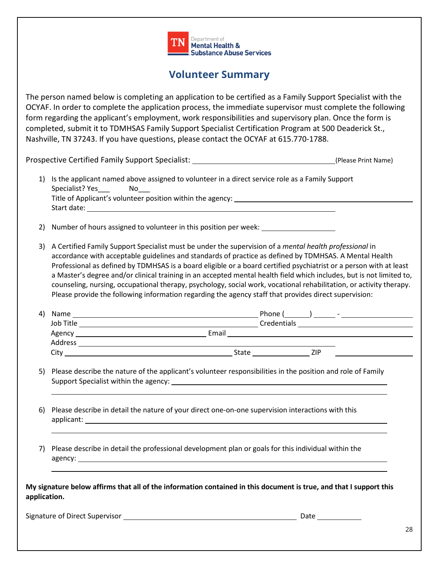

### **Volunteer Summary**

The person named below is completing an application to be certified as a Family Support Specialist with the OCYAF. In order to complete the application process, the immediate supervisor must complete the following form regarding the applicant's employment, work responsibilities and supervisory plan. Once the form is completed, submit it to TDMHSAS Family Support Specialist Certification Program at 500 Deaderick St., Nashville, TN 37243. If you have questions, please contact the OCYAF at 615.770-1788.

Prospective Certified Family Support Specialist: (Please Print Name)

- 1) Is the applicant named above assigned to volunteer in a direct service role as a Family Support Specialist? Yes \_\_\_\_\_ No Title of Applicant's volunteer position within the agency: Start date:
- 2) Number of hours assigned to volunteer in this position per week:
- 3) A Certified Family Support Specialist must be under the supervision of a *mental health professional* in accordance with acceptable guidelines and standards of practice as defined by TDMHSAS. A Mental Health Professional as defined by TDMHSAS is a board eligible or a board certified psychiatrist or a person with at least a Master's degree and/or clinical training in an accepted mental health field which includes, but is not limited to, counseling, nursing, occupational therapy, psychology, social work, vocational rehabilitation, or activity therapy. Please provide the following information regarding the agency staff that provides direct supervision:

| 4) | Name      | Phone |             | $\overline{\phantom{0}}$ |
|----|-----------|-------|-------------|--------------------------|
|    | Job Title |       | Credentials |                          |
|    | Agency    | Email |             |                          |
|    | Address   |       |             |                          |
|    | Citv      | State | ZIP         |                          |

- 5) Please describe the nature of the applicant's volunteer responsibilities in the position and role of Family Support Specialist within the agency:
- 6) Please describe in detail the nature of your direct one-on-one supervision interactions with this applicant:
- 7) Please describe in detail the professional development plan or goals for this individual within the agency:

**My signature below affirms that all of the information contained in this document is true, and that I support this application.**

Signature of Direct Supervisor Date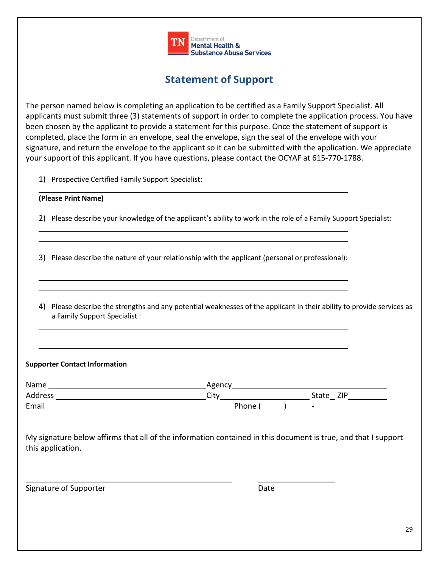

### **Statement of Support**

The person named below is completing an application to be certified as a Family Support Specialist. All applicants must submit three (3) statements of support in order to complete the application process. You have been chosen by the applicant to provide a statement for this purpose. Once the statement of support is completed, place the form in an envelope, seal the envelope, sign the seal of the envelope with your signature, and return the envelope to the applicant so it can be submitted with the application. We appreciate your support of this applicant. If you have questions, please contact the OCYAF at 615-770-1788.

1) Prospective Certified Family Support Specialist:

#### **(Please Print Name)**

2) Please describe your knowledge of the applicant's ability to work in the role of a Family Support Specialist:

3) Please describe the nature of your relationship with the applicant (personal or professional):

4) Please describe the strengths and any potential weaknesses of the applicant in their ability to provide services as a Family Support Specialist :

#### **Supporter Contact Information**

| Name    | Agency |               |
|---------|--------|---------------|
| Address | City   | 71 D<br>State |
| Email   | Phone  | $\sim$        |

My signature below affirms that all of the information contained in this document is true, and that I support this application.

Signature of Supporter and Date Date Date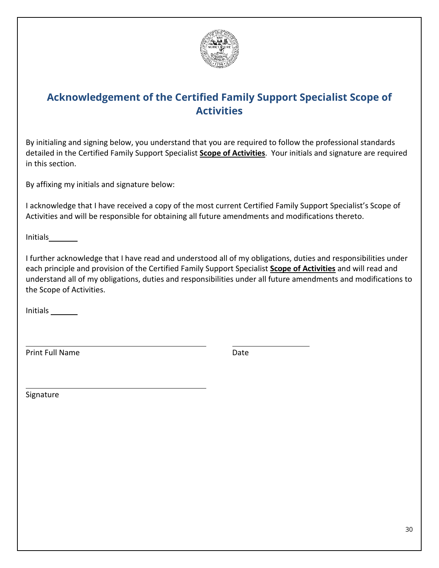

### **Acknowledgement of the Certified Family Support Specialist Scope of Activities**

By initialing and signing below, you understand that you are required to follow the professional standards detailed in the Certified Family Support Specialist **Scope of Activities**. Your initials and signature are required in this section.

By affixing my initials and signature below:

I acknowledge that I have received a copy of the most current Certified Family Support Specialist's Scope of Activities and will be responsible for obtaining all future amendments and modifications thereto.

Initials

I further acknowledge that I have read and understood all of my obligations, duties and responsibilities under each principle and provision of the Certified Family Support Specialist **Scope of Activities** and will read and understand all of my obligations, duties and responsibilities under all future amendments and modifications to the Scope of Activities.

Initials

Print Full Name Date

Signature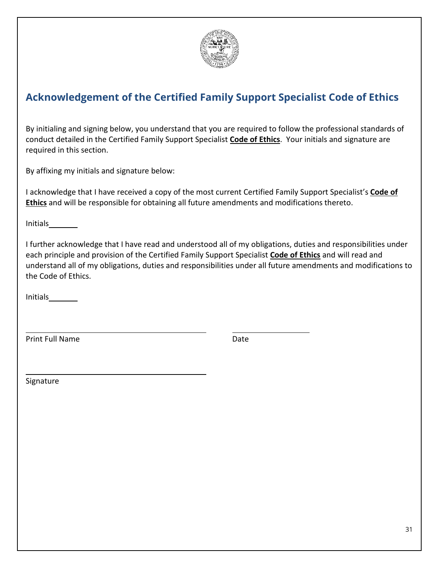

### **Acknowledgement of the Certified Family Support Specialist Code of Ethics**

By initialing and signing below, you understand that you are required to follow the professional standards of conduct detailed in the Certified Family Support Specialist **Code of Ethics**. Your initials and signature are required in this section.

By affixing my initials and signature below:

I acknowledge that I have received a copy of the most current Certified Family Support Specialist's **Code of Ethics** and will be responsible for obtaining all future amendments and modifications thereto.

Initials

I further acknowledge that I have read and understood all of my obligations, duties and responsibilities under each principle and provision of the Certified Family Support Specialist **Code of Ethics** and will read and understand all of my obligations, duties and responsibilities under all future amendments and modifications to the Code of Ethics.

Initials

Print Full Name Date

Signature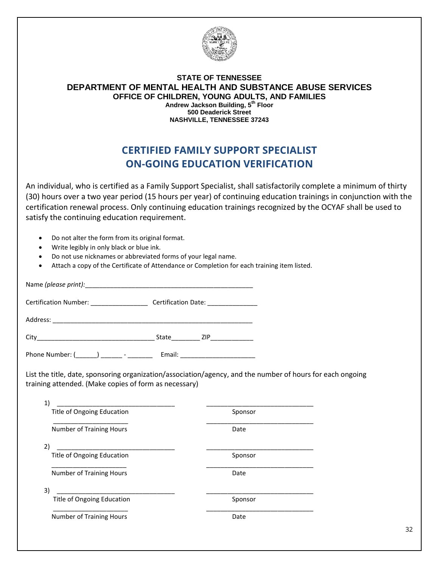

#### **STATE OF TENNESSEE DEPARTMENT OF MENTAL HEALTH AND SUBSTANCE ABUSE SERVICES OFFICE OF CHILDREN, YOUNG ADULTS, AND FAMILIES Andrew Jackson Building, 5th Floor 500 Deaderick Street NASHVILLE, TENNESSEE 37243**

### **CERTIFIED FAMILY SUPPORT SPECIALIST ON-GOING EDUCATION VERIFICATION**

An individual, who is certified as a Family Support Specialist, shall satisfactorily complete a minimum of thirty (30) hours over a two year period (15 hours per year) of continuing education trainings in conjunction with the certification renewal process. Only continuing education trainings recognized by the OCYAF shall be used to satisfy the continuing education requirement.

- Do not alter the form from its original format.
- Write legibly in only black or blue ink.
- Do not use nicknames or abbreviated forms of your legal name.
- Attach a copy of the Certificate of Attendance or Completion for each training item listed.

Name *(please print):* 

Certification Number: \_\_\_\_\_\_\_\_\_\_\_\_\_\_\_\_\_\_\_\_ Certification Date: \_\_\_\_\_\_\_\_\_\_\_\_\_\_\_\_\_

Address: \_\_\_\_\_\_\_\_\_\_\_\_\_\_\_\_\_\_\_\_\_\_\_\_\_\_\_\_\_\_\_\_\_\_\_\_\_\_\_\_\_\_\_\_\_\_\_\_\_\_\_\_\_\_\_\_

| $\sim$<br>- - |  |  |
|---------------|--|--|
|---------------|--|--|

Phone Number: (\_\_\_\_\_\_) \_\_\_\_\_\_\_ - \_\_\_\_\_\_\_\_ Email: \_\_\_\_\_\_\_\_\_\_\_\_\_\_\_\_\_\_\_\_\_\_\_\_\_\_\_\_\_\_\_

List the title, date, sponsoring organization/association/agency, and the number of hours for each ongoing training attended. (Make copies of form as necessary)

| Sponsor |
|---------|
| Date    |
|         |
| Sponsor |
| Date    |
|         |
| Sponsor |
| Date    |
|         |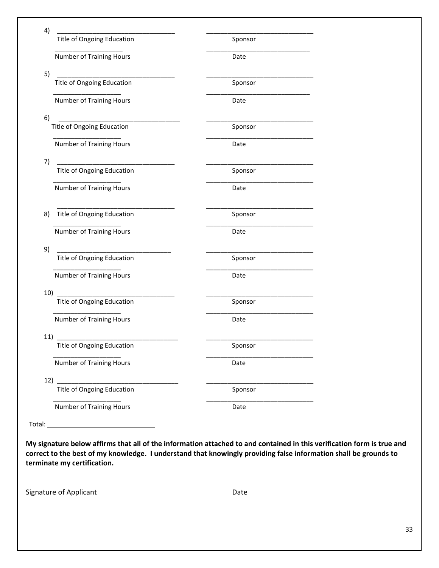| 4)     | <u> 1990 - Johann John Stone, mars eta biztanleria (</u> |         |
|--------|----------------------------------------------------------|---------|
|        | <b>Title of Ongoing Education</b>                        | Sponsor |
|        | Number of Training Hours                                 | Date    |
| 5)     |                                                          |         |
|        | Title of Ongoing Education                               | Sponsor |
|        | <b>Number of Training Hours</b>                          | Date    |
| 6)     | Title of Ongoing Education                               | Sponsor |
|        | <b>Number of Training Hours</b>                          | Date    |
| 7)     | Title of Ongoing Education                               | Sponsor |
|        |                                                          |         |
|        | Number of Training Hours                                 | Date    |
| 8)     | Title of Ongoing Education                               | Sponsor |
|        | <b>Number of Training Hours</b>                          | Date    |
| 9)     |                                                          |         |
|        | Title of Ongoing Education                               | Sponsor |
|        | <b>Number of Training Hours</b>                          | Date    |
| 10)    | Title of Ongoing Education                               | Sponsor |
|        | <b>Number of Training Hours</b>                          | Date    |
| 11)    |                                                          |         |
|        | Title of Ongoing Education                               | Sponsor |
|        | <b>Number of Training Hours</b>                          | Date    |
| 12)    | <b>Title of Ongoing Education</b>                        | Sponsor |
|        | <b>Number of Training Hours</b>                          | Date    |
| Total: |                                                          |         |

**My signature below affirms that all of the information attached to and contained in this verification form is true and correct to the best of my knowledge. I understand that knowingly providing false information shall be grounds to terminate my certification.**

Signature of Applicant **Date** Date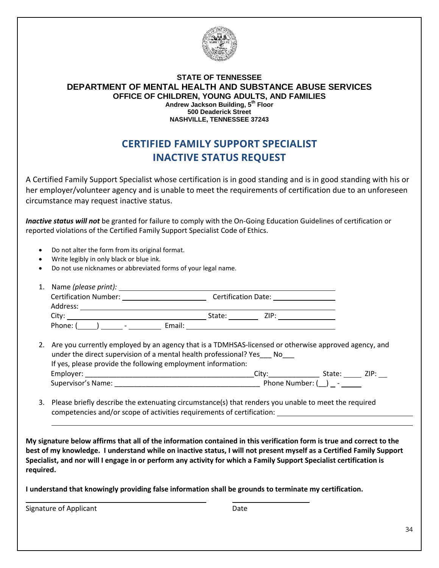

#### **STATE OF TENNESSEE DEPARTMENT OF MENTAL HEALTH AND SUBSTANCE ABUSE SERVICES OFFICE OF CHILDREN, YOUNG ADULTS, AND FAMILIES Andrew Jackson Building, 5th Floor 500 Deaderick Street NASHVILLE, TENNESSEE 37243**

### **CERTIFIED FAMILY SUPPORT SPECIALIST INACTIVE STATUS REQUEST**

A Certified Family Support Specialist whose certification is in good standing and is in good standing with his or her employer/volunteer agency and is unable to meet the requirements of certification due to an unforeseen circumstance may request inactive status.

*Inactive status will not* be granted for failure to comply with the On-Going Education Guidelines of certification or reported violations of the Certified Family Support Specialist Code of Ethics.

- Do not alter the form from its original format.
- Write legibly in only black or blue ink.
- Do not use nicknames or abbreviated forms of your legal name.

| 1. Name (please print):            |                                                                                                                                                                                                                               |
|------------------------------------|-------------------------------------------------------------------------------------------------------------------------------------------------------------------------------------------------------------------------------|
| <b>Certification Number:</b>       | Certification Date: Note that the control of the control of the control of the control of the control of the control of the control of the control of the control of the control of the control of the control of the control |
| Address:                           |                                                                                                                                                                                                                               |
| City <sup>-</sup>                  | ZIP:<br>State:                                                                                                                                                                                                                |
| Phone:<br>$\overline{\phantom{0}}$ | Email:                                                                                                                                                                                                                        |

- 2. Are you currently employed by an agency that is a TDMHSAS-licensed or otherwise approved agency, and under the direct supervision of a mental health professional? Yes\_\_\_ No\_\_\_ If yes, please provide the following employment information: Employer: \_\_\_\_\_\_\_\_\_\_\_\_\_\_\_\_\_\_\_\_\_\_\_\_\_\_\_\_\_\_\_\_\_\_\_\_\_\_\_\_\_\_\_City:\_\_\_\_\_\_\_\_\_\_\_\_\_ State: ZIP: Supervisor's Name:  $\begin{array}{ccc} \text{Supervisor's} & \text{Supervisor's} \\ \end{array}$
- 3. Please briefly describe the extenuating circumstance(s) that renders you unable to meet the required competencies and/or scope of activities requirements of certification:

**My signature below affirms that all of the information contained in this verification form is true and correct to the best of my knowledge. I understand while on inactive status, I will not present myself as a Certified Family Support Specialist, and nor will I engage in or perform any activity for which a Family Support Specialist certification is required.**

**I understand that knowingly providing false information shall be grounds to terminate my certification.**

Signature of Applicant **Date**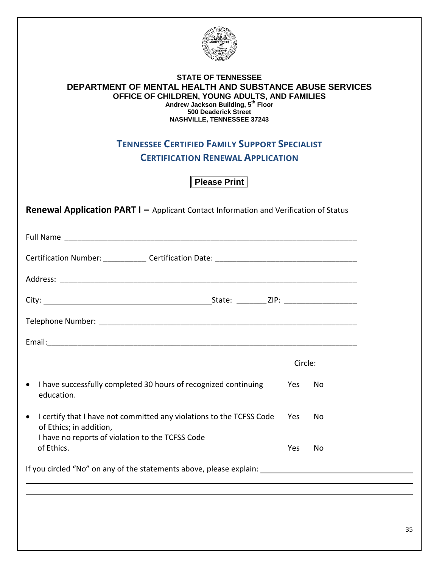

#### **STATE OF TENNESSEE DEPARTMENT OF MENTAL HEALTH AND SUBSTANCE ABUSE SERVICES OFFICE OF CHILDREN, YOUNG ADULTS, AND FAMILIES Andrew Jackson Building, 5th Floor 500 Deaderick Street NASHVILLE, TENNESSEE 37243**

### **TENNESSEE CERTIFIED FAMILY SUPPORT SPECIALIST**

**CERTIFICATION RENEWAL APPLICATION**

**Please Print** 

**Renewal Application PART I –** Applicant Contact Information and Verification of Status

|                                                                                                              | Circle: |     |
|--------------------------------------------------------------------------------------------------------------|---------|-----|
| I have successfully completed 30 hours of recognized continuing<br>$\bullet$<br>education.                   | Yes     | No. |
| I certify that I have not committed any violations to the TCFSS Code<br>$\bullet$<br>of Ethics; in addition, | Yes     | No. |
| I have no reports of violation to the TCFSS Code<br>of Ethics.                                               | Yes     | No  |
| If you circled "No" on any of the statements above, please explain: ________________________________         |         |     |
|                                                                                                              |         |     |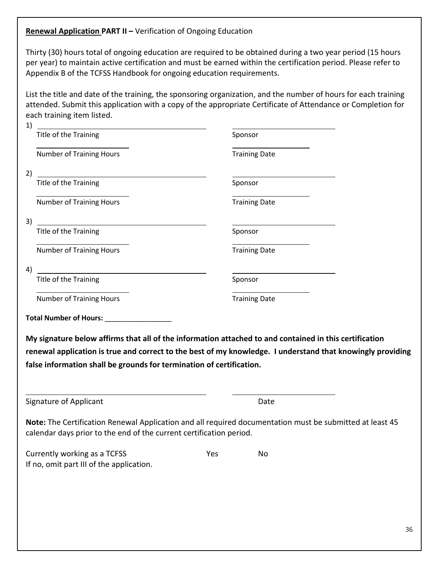#### **Renewal Application PART II –** Verification of Ongoing Education

Thirty (30) hours total of ongoing education are required to be obtained during a two year period (15 hours per year) to maintain active certification and must be earned within the certification period. Please refer to Appendix B of the TCFSS Handbook for ongoing education requirements.

List the title and date of the training, the sponsoring organization, and the number of hours for each training attended. Submit this application with a copy of the appropriate Certificate of Attendance or Completion for each training item listed.

| 1)                                                                   |                                                                                                            |  |
|----------------------------------------------------------------------|------------------------------------------------------------------------------------------------------------|--|
| Title of the Training                                                | Sponsor                                                                                                    |  |
| <b>Number of Training Hours</b>                                      | <b>Training Date</b>                                                                                       |  |
| 2)                                                                   |                                                                                                            |  |
| Title of the Training                                                | Sponsor                                                                                                    |  |
| <b>Number of Training Hours</b>                                      | <b>Training Date</b>                                                                                       |  |
| 3)                                                                   |                                                                                                            |  |
| Title of the Training                                                | Sponsor                                                                                                    |  |
| <b>Number of Training Hours</b>                                      | <b>Training Date</b>                                                                                       |  |
| 4)                                                                   |                                                                                                            |  |
| Title of the Training                                                | Sponsor                                                                                                    |  |
| <b>Number of Training Hours</b>                                      | <b>Training Date</b>                                                                                       |  |
| Total Number of Hours: ______________                                |                                                                                                            |  |
|                                                                      | My signature below affirms that all of the information attached to and contained in this certification     |  |
|                                                                      | renewal application is true and correct to the best of my knowledge. I understand that knowingly providing |  |
| false information shall be grounds for termination of certification. |                                                                                                            |  |
| <b>Signature of Applicant</b>                                        | Date                                                                                                       |  |
| calendar days prior to the end of the current certification period.  | Note: The Certification Renewal Application and all required documentation must be submitted at least 45   |  |
| Currently working as a TCFSS                                         | Yes<br>No                                                                                                  |  |

If no, omit part III of the application.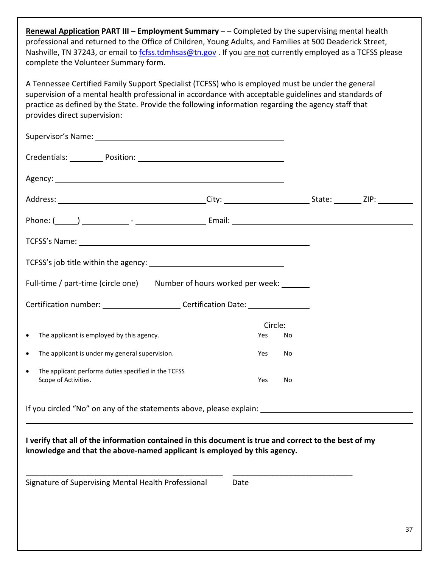**Renewal Application PART III – Employment Summary** – – Completed by the supervising mental health professional and returned to the Office of Children, Young Adults, and Families at 500 Deaderick Street, Nashville, TN 37243, or email to [fcfss.tdmhsas@tn.gov](mailto:fcfss.tdmhsas@tn.gov). If you are not currently employed as a TCFSS please complete the Volunteer Summary form.

A Tennessee Certified Family Support Specialist (TCFSS) who is employed must be under the general supervision of a mental health professional in accordance with acceptable guidelines and standards of practice as defined by the State. Provide the following information regarding the agency staff that provides direct supervision:

| Supervisor's Name: 1990 and 200 and 200 and 200 and 200 and 200 and 200 and 200 and 200 and 200 and 200 and 20                                                                    |      |                |    |  |
|-----------------------------------------------------------------------------------------------------------------------------------------------------------------------------------|------|----------------|----|--|
| Credentials: Position: Position: Position: Predentials: Predentials: Predentials: Predentials: Prede                                                                              |      |                |    |  |
|                                                                                                                                                                                   |      |                |    |  |
|                                                                                                                                                                                   |      |                |    |  |
|                                                                                                                                                                                   |      |                |    |  |
|                                                                                                                                                                                   |      |                |    |  |
|                                                                                                                                                                                   |      |                |    |  |
| Full-time / part-time (circle one) Number of hours worked per week: ______                                                                                                        |      |                |    |  |
| Certification number: _________________________Certification Date: _____________                                                                                                  |      |                |    |  |
| The applicant is employed by this agency.                                                                                                                                         |      | Circle:<br>Yes |    |  |
| $\bullet$                                                                                                                                                                         |      |                | No |  |
| The applicant is under my general supervision.<br>$\bullet$                                                                                                                       |      | Yes            | No |  |
| The applicant performs duties specified in the TCFSS<br>$\bullet$<br>Scope of Activities.                                                                                         |      | Yes            | No |  |
| If you circled "No" on any of the statements above, please explain: ________________________________                                                                              |      |                |    |  |
| I verify that all of the information contained in this document is true and correct to the best of my<br>knowledge and that the above-named applicant is employed by this agency. |      |                |    |  |
| Signature of Supervising Mental Health Professional                                                                                                                               | Date |                |    |  |
|                                                                                                                                                                                   |      |                |    |  |
|                                                                                                                                                                                   |      |                |    |  |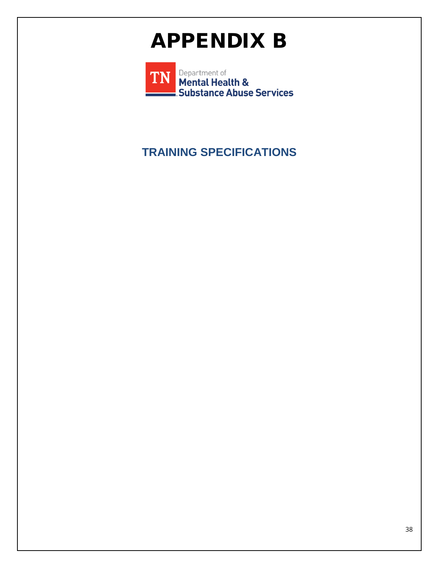## APPENDIX B

Department of **TN** Mental Health & Substance Abuse Services

### **TRAINING SPECIFICATIONS**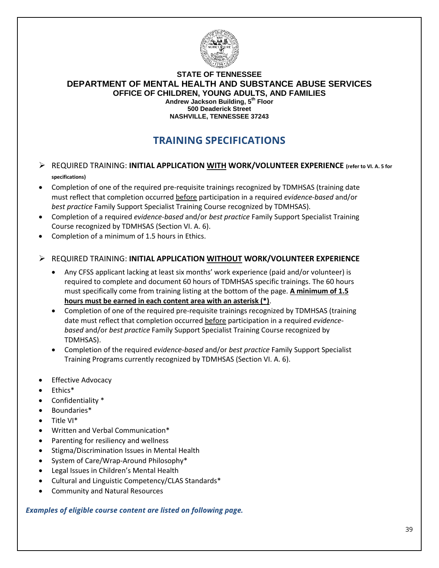

#### **STATE OF TENNESSEE DEPARTMENT OF MENTAL HEALTH AND SUBSTANCE ABUSE SERVICES OFFICE OF CHILDREN, YOUNG ADULTS, AND FAMILIES Andrew Jackson Building, 5th Floor 500 Deaderick Street NASHVILLE, TENNESSEE 37243**

### **TRAINING SPECIFICATIONS**

- REQUIRED TRAINING: **INITIAL APPLICATION WITH WORK/VOLUNTEER EXPERIENCE (refer to VI. A. 5 for specifications)**
- Completion of one of the required pre-requisite trainings recognized by TDMHSAS (training date must reflect that completion occurred before participation in a required *evidence-based* and/or *best practice* Family Support Specialist Training Course recognized by TDMHSAS).
- Completion of a required *evidence-based* and/or *best practice* Family Support Specialist Training Course recognized by TDMHSAS (Section VI. A. 6).
- Completion of a minimum of 1.5 hours in Ethics.

#### REQUIRED TRAINING: **INITIAL APPLICATION WITHOUT WORK/VOLUNTEER EXPERIENCE**

- Any CFSS applicant lacking at least six months' work experience (paid and/or volunteer) is required to complete and document 60 hours of TDMHSAS specific trainings. The 60 hours must specifically come from training listing at the bottom of the page. **A minimum of 1.5 hours must be earned in each content area with an asterisk (\*)**.
- Completion of one of the required pre-requisite trainings recognized by TDMHSAS (training date must reflect that completion occurred before participation in a required *evidencebased* and/or *best practice* Family Support Specialist Training Course recognized by TDMHSAS).
- Completion of the required *evidence-based* and/or *best practice* Family Support Specialist Training Programs currently recognized by TDMHSAS (Section VI. A. 6).
- Effective Advocacy
- Ethics\*
- Confidentiality \*
- Boundaries\*
- Title VI\*
- Written and Verbal Communication\*
- Parenting for resiliency and wellness
- Stigma/Discrimination Issues in Mental Health
- System of Care/Wrap-Around Philosophy\*
- Legal Issues in Children's Mental Health
- Cultural and Linguistic Competency/CLAS Standards\*
- Community and Natural Resources

*Examples of eligible course content are listed on following page.*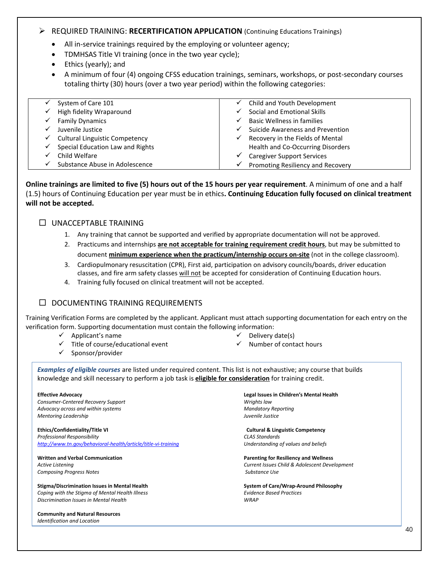#### REQUIRED TRAINING: **RECERTIFICATION APPLICATION** (Continuing Educations Trainings)

- All in-service trainings required by the employing or volunteer agency;
- TDMHSAS Title VI training (once in the two year cycle);
- Ethics (yearly); and
- A minimum of four (4) ongoing CFSS education trainings, seminars, workshops, or post-secondary courses totaling thirty (30) hours (over a two year period) within the following categories:

|   | System of Care 101                    | $\checkmark$ | Child and Youth Development       |
|---|---------------------------------------|--------------|-----------------------------------|
| ✓ | High fidelity Wraparound              |              | Social and Emotional Skills       |
|   | <b>Family Dynamics</b>                | ✓            | Basic Wellness in families        |
|   | Juvenile Justice                      | ✓            | Suicide Awareness and Prevention  |
| ✓ | <b>Cultural Linguistic Competency</b> | ✓            | Recovery in the Fields of Mental  |
| ✓ | Special Education Law and Rights      |              | Health and Co-Occurring Disorders |
|   | Child Welfare                         | ✓            | <b>Caregiver Support Services</b> |
|   | Substance Abuse in Adolescence        | ✓            | Promoting Resiliency and Recovery |

**Online trainings are limited to five (5) hours out of the 15 hours per year requirement**. A minimum of one and a half (1.5) hours of Continuing Education per year must be in ethics**. Continuing Education fully focused on clinical treatment will not be accepted.** 

#### $\Box$  UNACCEPTABLE TRAINING

- 1. Any training that cannot be supported and verified by appropriate documentation will not be approved.
- 2. Practicums and internships **are not acceptable for training requirement credit hours**, but may be submitted to document **minimum experience when the practicum/internship occurs on-site** (not in the college classroom).
- 3. [Cardiopulmonary resuscitation \(CPR\), First aid, participation on advisory councils/boards, driver education](https://www.mayoclinic.org/first-aid/first-aid-cpr/basics/art-20056600)  [classes, a](https://www.mayoclinic.org/first-aid/first-aid-cpr/basics/art-20056600)nd fire arm safety classes will not be accepted for consideration of Continuing Education hours.
- 4. Training fully focused on clinical treatment will not be accepted.

#### $\square$  DOCUMENTING TRAINING REQUIREMENTS

Training Verification Forms are completed by the applicant. Applicant must attach supporting documentation for each entry on the verification form. Supporting documentation must contain the following information:

- $\checkmark$  Applicant's name
- $\checkmark$  Title of course/educational event
	-
- $\checkmark$  Sponsor/provider
- $\checkmark$  Delivery date(s)
- $\checkmark$  Number of contact hours

*Examples of eligible courses* are listed under required content. This list is not exhaustive; any course that builds

knowledge and skill necessary to perform a job task is **eligible for consideration** for training credit.

*Consumer-Centered Recovery Support Wrights law Advocacy across and within systems Mandatory Reporting Mentoring Leadership Juvenile Justice*

**Ethics/Confidentiality/Title VI Cultural & Linguistic Competency**  *Professional Responsibility CLAS Standards <http://www.tn.gov/behavioral-health/article/title-vi-training>Understanding of values and beliefs* 

**Composing Progress Notes Substance Use** Substance Use

**Stigma/Discrimination Issues in Mental Health System of Care/Wrap-Around Philosophy** *Coping with the Stigma of Mental Health Illness Evidence Based Practices Discrimination Issues in Mental Health WRAP*

**Community and Natural Resources** *Identification and Location* 

**Effective Advocacy Legal Issues in Children's Mental Health**

**Written and Verbal Communication Parenting for Resiliency and Wellness** *Active Listening Current Issues Child & Adolescent Development*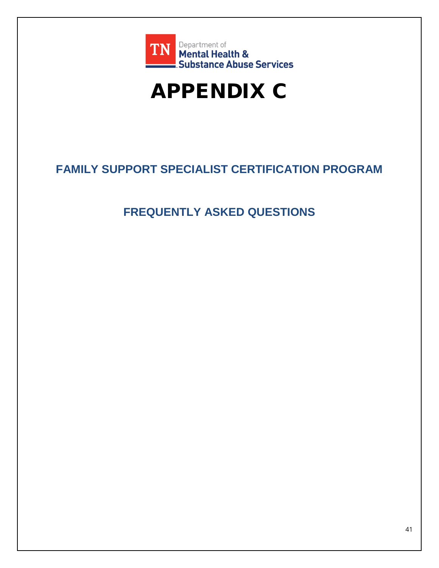

## APPENDIX C

### **FAMILY SUPPORT SPECIALIST CERTIFICATION PROGRAM**

### **FREQUENTLY ASKED QUESTIONS**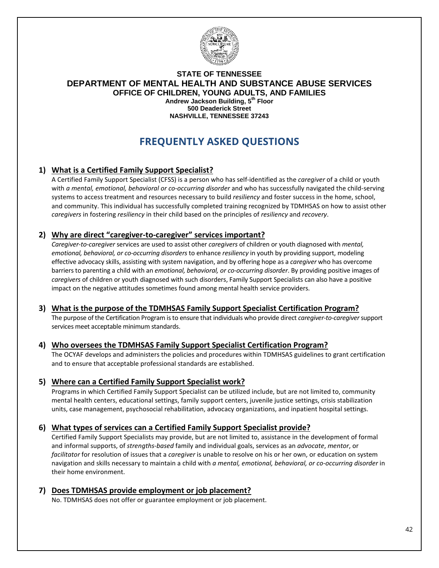

#### **STATE OF TENNESSEE DEPARTMENT OF MENTAL HEALTH AND SUBSTANCE ABUSE SERVICES OFFICE OF CHILDREN, YOUNG ADULTS, AND FAMILIES Andrew Jackson Building, 5th Floor 500 Deaderick Street NASHVILLE, TENNESSEE 37243**

### **FREQUENTLY ASKED QUESTIONS**

#### **1) What is a Certified Family Support Specialist?**

A Certified Family Support Specialist (CFSS) is a person who has self-identified as the *caregiver* of a child or youth with *a mental, emotional, behavioral or co-occurring disorder* and who has successfully navigated the child-serving systems to access treatment and resources necessary to build *resiliency* and foster success in the home, school, and community. This individual has successfully completed training recognized by TDMHSAS on how to assist other *caregivers* in fostering *resiliency* in their child based on the principles of *resiliency* and *recovery*.

#### **2) Why are direct "caregiver-to-caregiver" services important?**

*Caregiver-to-caregiver* services are used to assist other *caregivers* of children or youth diagnosed with *mental, emotional, behavioral, or co-occurring disorders* to enhance *resiliency* in youth by providing support, modeling effective advocacy skills, assisting with system navigation, and by offering hope as a *caregiver* who has overcome barriers to parenting a child with an *emotional, behavioral, or co-occurring disorder*. By providing positive images of *caregivers* of children or youth diagnosed with such disorders, Family Support Specialists can also have a positive impact on the negative attitudes sometimes found among mental health service providers.

#### **3) What is the purpose of the TDMHSAS Family Support Specialist Certification Program?**

The purpose of the Certification Program is to ensure that individuals who provide direct *caregiver-to-caregiver*support services meet acceptable minimum standards.

#### **4) Who oversees the TDMHSAS Family Support Specialist Certification Program?**

The OCYAF develops and administers the policies and procedures within TDMHSAS guidelines to grant certification and to ensure that acceptable professional standards are established.

#### **5) Where can a Certified Family Support Specialist work?**

Programs in which Certified Family Support Specialist can be utilized include, but are not limited to, community mental health centers, educational settings, family support centers, juvenile justice settings, crisis stabilization units, case management, psychosocial rehabilitation, advocacy organizations, and inpatient hospital settings.

#### **6) What types of services can a Certified Family Support Specialist provide?**

Certified Family Support Specialists may provide, but are not limited to, assistance in the development of formal and informal supports, of *strengths-based* family and individual goals, services as an *advocate*, *mentor*, or *facilitator* for resolution of issues that a *caregiver* is unable to resolve on his or her own, or education on system navigation and skills necessary to maintain a child with *a mental, emotional, behavioral, or co-occurring disorder* in their home environment.

#### **7) Does TDMHSAS provide employment or job placement?**

No. TDMHSAS does not offer or guarantee employment or job placement.